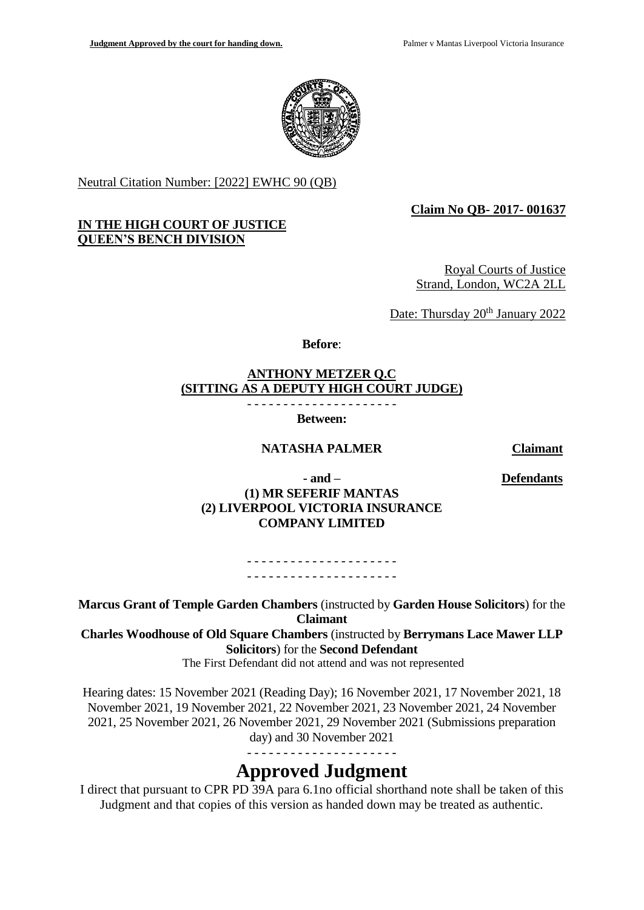

Neutral Citation Number: [2022] EWHC 90 (QB)

## **IN THE HIGH COURT OF JUSTICE QUEEN'S BENCH DIVISION**

## **Claim No QB- 2017- 001637**

Royal Courts of Justice Strand, London, WC2A 2LL

Date: Thursday 20<sup>th</sup> January 2022

**Before**:

# **ANTHONY METZER Q.C (SITTING AS A DEPUTY HIGH COURT JUDGE)** - - - - - - - - - - - - - - - - - - - - -

**Between:**

# **NATASHA PALMER Claimant**

**Defendants**

**- and – (1) MR SEFERIF MANTAS (2) LIVERPOOL VICTORIA INSURANCE COMPANY LIMITED**

> - - - - - - - - - - - - - - - - - - - - - - - - - - - - - - - - - - - - - - - - - -

**Marcus Grant of Temple Garden Chambers** (instructed by **Garden House Solicitors**) for the **Claimant**

**Charles Woodhouse of Old Square Chambers** (instructed by **Berrymans Lace Mawer LLP Solicitors**) for the **Second Defendant** 

The First Defendant did not attend and was not represented

Hearing dates: 15 November 2021 (Reading Day); 16 November 2021, 17 November 2021, 18 November 2021, 19 November 2021, 22 November 2021, 23 November 2021, 24 November 2021, 25 November 2021, 26 November 2021, 29 November 2021 (Submissions preparation day) and 30 November 2021

- - - - - - - - - - - - - - - - - - - - -

# **Approved Judgment**

I direct that pursuant to CPR PD 39A para 6.1no official shorthand note shall be taken of this Judgment and that copies of this version as handed down may be treated as authentic.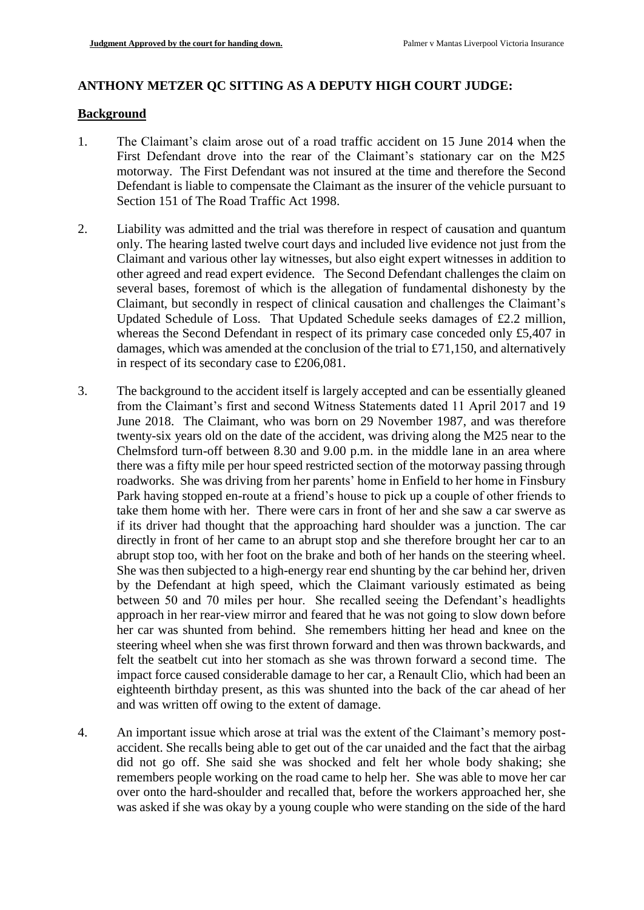## **ANTHONY METZER QC SITTING AS A DEPUTY HIGH COURT JUDGE:**

#### **Background**

- 1. The Claimant's claim arose out of a road traffic accident on 15 June 2014 when the First Defendant drove into the rear of the Claimant's stationary car on the M25 motorway. The First Defendant was not insured at the time and therefore the Second Defendant is liable to compensate the Claimant as the insurer of the vehicle pursuant to Section 151 of The Road Traffic Act 1998.
- 2. Liability was admitted and the trial was therefore in respect of causation and quantum only. The hearing lasted twelve court days and included live evidence not just from the Claimant and various other lay witnesses, but also eight expert witnesses in addition to other agreed and read expert evidence. The Second Defendant challenges the claim on several bases, foremost of which is the allegation of fundamental dishonesty by the Claimant, but secondly in respect of clinical causation and challenges the Claimant's Updated Schedule of Loss. That Updated Schedule seeks damages of £2.2 million, whereas the Second Defendant in respect of its primary case conceded only £5,407 in damages, which was amended at the conclusion of the trial to £71,150, and alternatively in respect of its secondary case to £206,081.
- 3. The background to the accident itself is largely accepted and can be essentially gleaned from the Claimant's first and second Witness Statements dated 11 April 2017 and 19 June 2018. The Claimant, who was born on 29 November 1987, and was therefore twenty-six years old on the date of the accident, was driving along the M25 near to the Chelmsford turn-off between 8.30 and 9.00 p.m. in the middle lane in an area where there was a fifty mile per hour speed restricted section of the motorway passing through roadworks. She was driving from her parents' home in Enfield to her home in Finsbury Park having stopped en-route at a friend's house to pick up a couple of other friends to take them home with her. There were cars in front of her and she saw a car swerve as if its driver had thought that the approaching hard shoulder was a junction. The car directly in front of her came to an abrupt stop and she therefore brought her car to an abrupt stop too, with her foot on the brake and both of her hands on the steering wheel. She was then subjected to a high-energy rear end shunting by the car behind her, driven by the Defendant at high speed, which the Claimant variously estimated as being between 50 and 70 miles per hour. She recalled seeing the Defendant's headlights approach in her rear-view mirror and feared that he was not going to slow down before her car was shunted from behind. She remembers hitting her head and knee on the steering wheel when she was first thrown forward and then was thrown backwards, and felt the seatbelt cut into her stomach as she was thrown forward a second time. The impact force caused considerable damage to her car, a Renault Clio, which had been an eighteenth birthday present, as this was shunted into the back of the car ahead of her and was written off owing to the extent of damage.
- 4. An important issue which arose at trial was the extent of the Claimant's memory postaccident. She recalls being able to get out of the car unaided and the fact that the airbag did not go off. She said she was shocked and felt her whole body shaking; she remembers people working on the road came to help her. She was able to move her car over onto the hard-shoulder and recalled that, before the workers approached her, she was asked if she was okay by a young couple who were standing on the side of the hard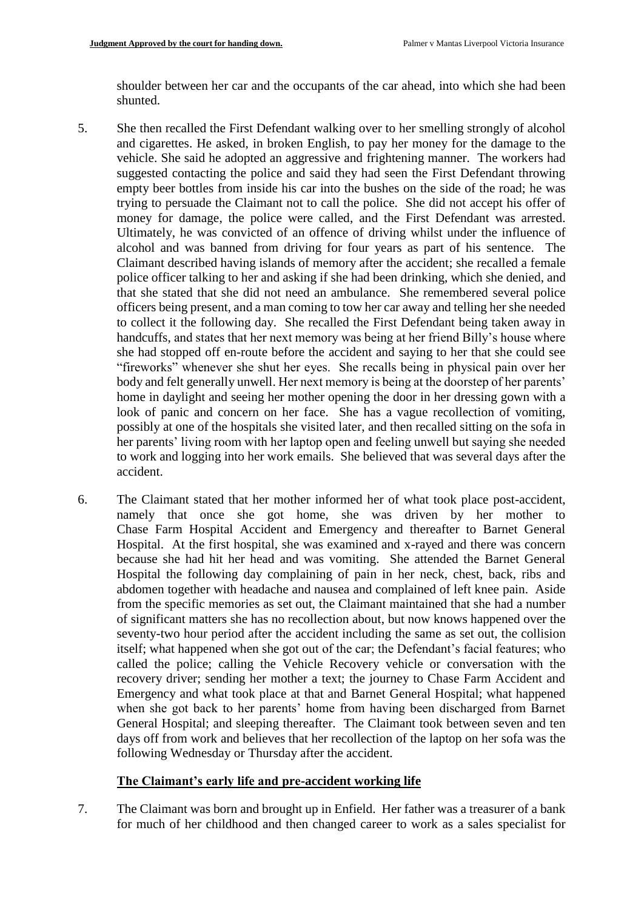shoulder between her car and the occupants of the car ahead, into which she had been shunted.

- 5. She then recalled the First Defendant walking over to her smelling strongly of alcohol and cigarettes. He asked, in broken English, to pay her money for the damage to the vehicle. She said he adopted an aggressive and frightening manner. The workers had suggested contacting the police and said they had seen the First Defendant throwing empty beer bottles from inside his car into the bushes on the side of the road; he was trying to persuade the Claimant not to call the police. She did not accept his offer of money for damage, the police were called, and the First Defendant was arrested. Ultimately, he was convicted of an offence of driving whilst under the influence of alcohol and was banned from driving for four years as part of his sentence. The Claimant described having islands of memory after the accident; she recalled a female police officer talking to her and asking if she had been drinking, which she denied, and that she stated that she did not need an ambulance. She remembered several police officers being present, and a man coming to tow her car away and telling her she needed to collect it the following day. She recalled the First Defendant being taken away in handcuffs, and states that her next memory was being at her friend Billy's house where she had stopped off en-route before the accident and saying to her that she could see "fireworks" whenever she shut her eyes. She recalls being in physical pain over her body and felt generally unwell. Her next memory is being at the doorstep of her parents' home in daylight and seeing her mother opening the door in her dressing gown with a look of panic and concern on her face. She has a vague recollection of vomiting, possibly at one of the hospitals she visited later, and then recalled sitting on the sofa in her parents' living room with her laptop open and feeling unwell but saying she needed to work and logging into her work emails. She believed that was several days after the accident.
- 6. The Claimant stated that her mother informed her of what took place post-accident, namely that once she got home, she was driven by her mother to Chase Farm Hospital Accident and Emergency and thereafter to Barnet General Hospital. At the first hospital, she was examined and x-rayed and there was concern because she had hit her head and was vomiting. She attended the Barnet General Hospital the following day complaining of pain in her neck, chest, back, ribs and abdomen together with headache and nausea and complained of left knee pain. Aside from the specific memories as set out, the Claimant maintained that she had a number of significant matters she has no recollection about, but now knows happened over the seventy-two hour period after the accident including the same as set out, the collision itself; what happened when she got out of the car; the Defendant's facial features; who called the police; calling the Vehicle Recovery vehicle or conversation with the recovery driver; sending her mother a text; the journey to Chase Farm Accident and Emergency and what took place at that and Barnet General Hospital; what happened when she got back to her parents' home from having been discharged from Barnet General Hospital; and sleeping thereafter. The Claimant took between seven and ten days off from work and believes that her recollection of the laptop on her sofa was the following Wednesday or Thursday after the accident.

## **The Claimant's early life and pre-accident working life**

7. The Claimant was born and brought up in Enfield. Her father was a treasurer of a bank for much of her childhood and then changed career to work as a sales specialist for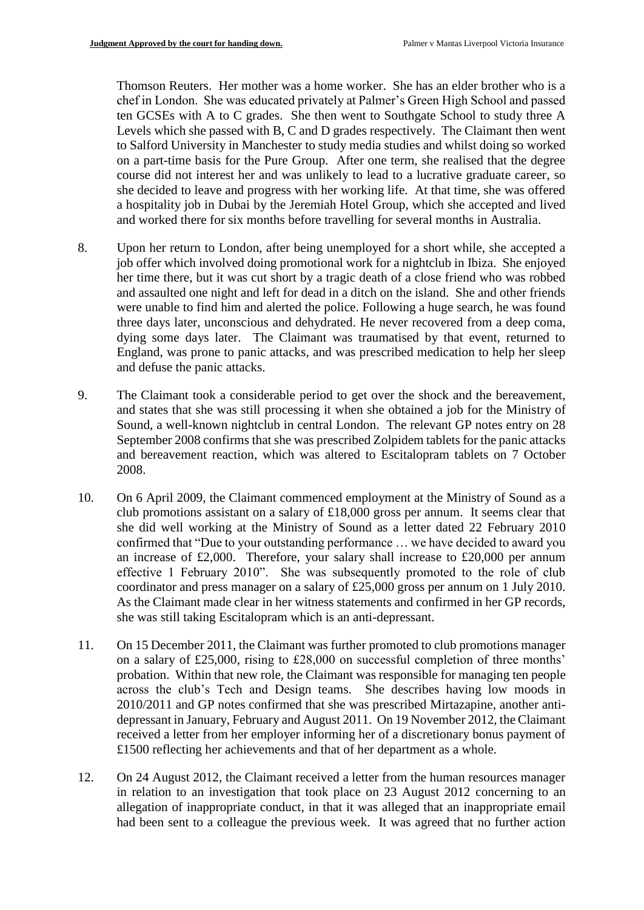Thomson Reuters. Her mother was a home worker. She has an elder brother who is a chef in London. She was educated privately at Palmer's Green High School and passed ten GCSEs with A to C grades. She then went to Southgate School to study three A Levels which she passed with B, C and D grades respectively. The Claimant then went to Salford University in Manchester to study media studies and whilst doing so worked on a part-time basis for the Pure Group. After one term, she realised that the degree course did not interest her and was unlikely to lead to a lucrative graduate career, so she decided to leave and progress with her working life. At that time, she was offered a hospitality job in Dubai by the Jeremiah Hotel Group, which she accepted and lived and worked there for six months before travelling for several months in Australia.

- 8. Upon her return to London, after being unemployed for a short while, she accepted a job offer which involved doing promotional work for a nightclub in Ibiza. She enjoyed her time there, but it was cut short by a tragic death of a close friend who was robbed and assaulted one night and left for dead in a ditch on the island. She and other friends were unable to find him and alerted the police. Following a huge search, he was found three days later, unconscious and dehydrated. He never recovered from a deep coma, dying some days later. The Claimant was traumatised by that event, returned to England, was prone to panic attacks, and was prescribed medication to help her sleep and defuse the panic attacks.
- 9. The Claimant took a considerable period to get over the shock and the bereavement, and states that she was still processing it when she obtained a job for the Ministry of Sound, a well-known nightclub in central London. The relevant GP notes entry on 28 September 2008 confirms that she was prescribed Zolpidem tablets for the panic attacks and bereavement reaction, which was altered to Escitalopram tablets on 7 October 2008.
- 10. On 6 April 2009, the Claimant commenced employment at the Ministry of Sound as a club promotions assistant on a salary of £18,000 gross per annum. It seems clear that she did well working at the Ministry of Sound as a letter dated 22 February 2010 confirmed that "Due to your outstanding performance … we have decided to award you an increase of £2,000. Therefore, your salary shall increase to £20,000 per annum effective 1 February 2010". She was subsequently promoted to the role of club coordinator and press manager on a salary of £25,000 gross per annum on 1 July 2010. As the Claimant made clear in her witness statements and confirmed in her GP records, she was still taking Escitalopram which is an anti-depressant.
- 11. On 15 December 2011, the Claimant was further promoted to club promotions manager on a salary of £25,000, rising to £28,000 on successful completion of three months' probation. Within that new role, the Claimant was responsible for managing ten people across the club's Tech and Design teams. She describes having low moods in 2010/2011 and GP notes confirmed that she was prescribed Mirtazapine, another antidepressant in January, February and August 2011. On 19 November 2012, the Claimant received a letter from her employer informing her of a discretionary bonus payment of £1500 reflecting her achievements and that of her department as a whole.
- 12. On 24 August 2012, the Claimant received a letter from the human resources manager in relation to an investigation that took place on 23 August 2012 concerning to an allegation of inappropriate conduct, in that it was alleged that an inappropriate email had been sent to a colleague the previous week. It was agreed that no further action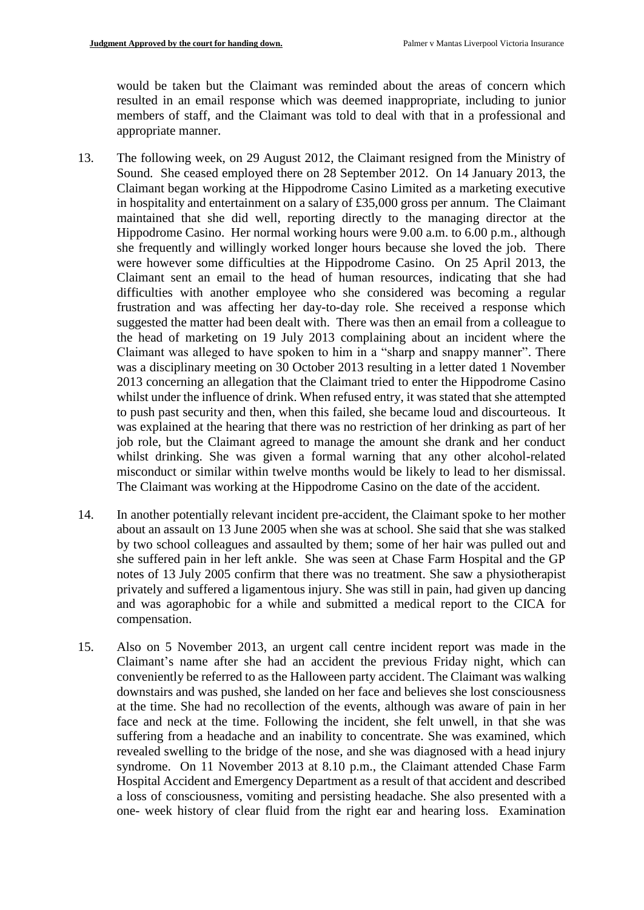would be taken but the Claimant was reminded about the areas of concern which resulted in an email response which was deemed inappropriate, including to junior members of staff, and the Claimant was told to deal with that in a professional and appropriate manner.

- 13. The following week, on 29 August 2012, the Claimant resigned from the Ministry of Sound. She ceased employed there on 28 September 2012. On 14 January 2013, the Claimant began working at the Hippodrome Casino Limited as a marketing executive in hospitality and entertainment on a salary of £35,000 gross per annum. The Claimant maintained that she did well, reporting directly to the managing director at the Hippodrome Casino. Her normal working hours were 9.00 a.m. to 6.00 p.m., although she frequently and willingly worked longer hours because she loved the job. There were however some difficulties at the Hippodrome Casino. On 25 April 2013, the Claimant sent an email to the head of human resources, indicating that she had difficulties with another employee who she considered was becoming a regular frustration and was affecting her day-to-day role. She received a response which suggested the matter had been dealt with. There was then an email from a colleague to the head of marketing on 19 July 2013 complaining about an incident where the Claimant was alleged to have spoken to him in a "sharp and snappy manner". There was a disciplinary meeting on 30 October 2013 resulting in a letter dated 1 November 2013 concerning an allegation that the Claimant tried to enter the Hippodrome Casino whilst under the influence of drink. When refused entry, it was stated that she attempted to push past security and then, when this failed, she became loud and discourteous. It was explained at the hearing that there was no restriction of her drinking as part of her job role, but the Claimant agreed to manage the amount she drank and her conduct whilst drinking. She was given a formal warning that any other alcohol-related misconduct or similar within twelve months would be likely to lead to her dismissal. The Claimant was working at the Hippodrome Casino on the date of the accident.
- 14. In another potentially relevant incident pre-accident, the Claimant spoke to her mother about an assault on 13 June 2005 when she was at school. She said that she was stalked by two school colleagues and assaulted by them; some of her hair was pulled out and she suffered pain in her left ankle. She was seen at Chase Farm Hospital and the GP notes of 13 July 2005 confirm that there was no treatment. She saw a physiotherapist privately and suffered a ligamentous injury. She was still in pain, had given up dancing and was agoraphobic for a while and submitted a medical report to the CICA for compensation.
- 15. Also on 5 November 2013, an urgent call centre incident report was made in the Claimant's name after she had an accident the previous Friday night, which can conveniently be referred to as the Halloween party accident. The Claimant was walking downstairs and was pushed, she landed on her face and believes she lost consciousness at the time. She had no recollection of the events, although was aware of pain in her face and neck at the time. Following the incident, she felt unwell, in that she was suffering from a headache and an inability to concentrate. She was examined, which revealed swelling to the bridge of the nose, and she was diagnosed with a head injury syndrome. On 11 November 2013 at 8.10 p.m., the Claimant attended Chase Farm Hospital Accident and Emergency Department as a result of that accident and described a loss of consciousness, vomiting and persisting headache. She also presented with a one- week history of clear fluid from the right ear and hearing loss. Examination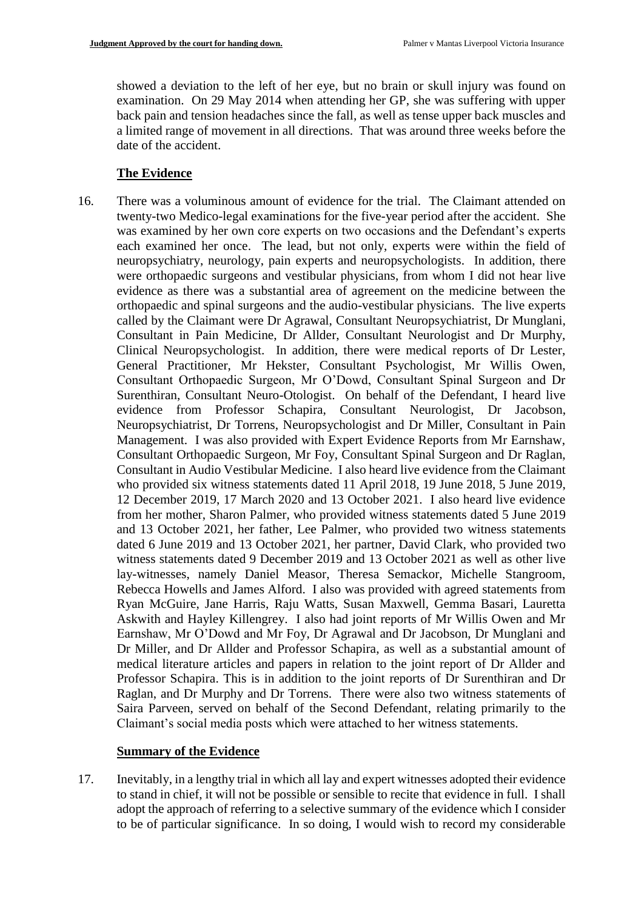showed a deviation to the left of her eye, but no brain or skull injury was found on examination. On 29 May 2014 when attending her GP, she was suffering with upper back pain and tension headaches since the fall, as well as tense upper back muscles and a limited range of movement in all directions. That was around three weeks before the date of the accident.

## **The Evidence**

16. There was a voluminous amount of evidence for the trial. The Claimant attended on twenty-two Medico-legal examinations for the five-year period after the accident. She was examined by her own core experts on two occasions and the Defendant's experts each examined her once. The lead, but not only, experts were within the field of neuropsychiatry, neurology, pain experts and neuropsychologists. In addition, there were orthopaedic surgeons and vestibular physicians, from whom I did not hear live evidence as there was a substantial area of agreement on the medicine between the orthopaedic and spinal surgeons and the audio-vestibular physicians. The live experts called by the Claimant were Dr Agrawal, Consultant Neuropsychiatrist, Dr Munglani, Consultant in Pain Medicine, Dr Allder, Consultant Neurologist and Dr Murphy, Clinical Neuropsychologist. In addition, there were medical reports of Dr Lester, General Practitioner, Mr Hekster, Consultant Psychologist, Mr Willis Owen, Consultant Orthopaedic Surgeon, Mr O'Dowd, Consultant Spinal Surgeon and Dr Surenthiran, Consultant Neuro-Otologist. On behalf of the Defendant, I heard live evidence from Professor Schapira, Consultant Neurologist, Dr Jacobson, Neuropsychiatrist, Dr Torrens, Neuropsychologist and Dr Miller, Consultant in Pain Management. I was also provided with Expert Evidence Reports from Mr Earnshaw, Consultant Orthopaedic Surgeon, Mr Foy, Consultant Spinal Surgeon and Dr Raglan, Consultant in Audio Vestibular Medicine. I also heard live evidence from the Claimant who provided six witness statements dated 11 April 2018, 19 June 2018, 5 June 2019, 12 December 2019, 17 March 2020 and 13 October 2021. I also heard live evidence from her mother, Sharon Palmer, who provided witness statements dated 5 June 2019 and 13 October 2021, her father, Lee Palmer, who provided two witness statements dated 6 June 2019 and 13 October 2021, her partner, David Clark, who provided two witness statements dated 9 December 2019 and 13 October 2021 as well as other live lay-witnesses, namely Daniel Measor, Theresa Semackor, Michelle Stangroom, Rebecca Howells and James Alford. I also was provided with agreed statements from Ryan McGuire, Jane Harris, Raju Watts, Susan Maxwell, Gemma Basari, Lauretta Askwith and Hayley Killengrey. I also had joint reports of Mr Willis Owen and Mr Earnshaw, Mr O'Dowd and Mr Foy, Dr Agrawal and Dr Jacobson, Dr Munglani and Dr Miller, and Dr Allder and Professor Schapira, as well as a substantial amount of medical literature articles and papers in relation to the joint report of Dr Allder and Professor Schapira. This is in addition to the joint reports of Dr Surenthiran and Dr Raglan, and Dr Murphy and Dr Torrens. There were also two witness statements of Saira Parveen, served on behalf of the Second Defendant, relating primarily to the Claimant's social media posts which were attached to her witness statements.

## **Summary of the Evidence**

17. Inevitably, in a lengthy trial in which all lay and expert witnesses adopted their evidence to stand in chief, it will not be possible or sensible to recite that evidence in full. I shall adopt the approach of referring to a selective summary of the evidence which I consider to be of particular significance. In so doing, I would wish to record my considerable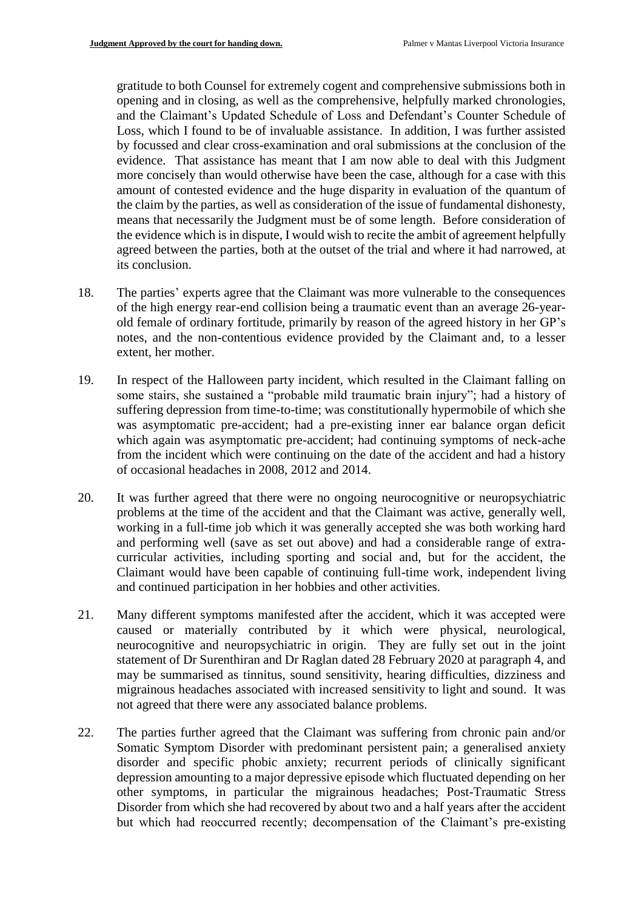gratitude to both Counsel for extremely cogent and comprehensive submissions both in opening and in closing, as well as the comprehensive, helpfully marked chronologies, and the Claimant's Updated Schedule of Loss and Defendant's Counter Schedule of Loss, which I found to be of invaluable assistance. In addition, I was further assisted by focussed and clear cross-examination and oral submissions at the conclusion of the evidence. That assistance has meant that I am now able to deal with this Judgment more concisely than would otherwise have been the case, although for a case with this amount of contested evidence and the huge disparity in evaluation of the quantum of the claim by the parties, as well as consideration of the issue of fundamental dishonesty, means that necessarily the Judgment must be of some length. Before consideration of the evidence which is in dispute, I would wish to recite the ambit of agreement helpfully agreed between the parties, both at the outset of the trial and where it had narrowed, at its conclusion.

- 18. The parties' experts agree that the Claimant was more vulnerable to the consequences of the high energy rear-end collision being a traumatic event than an average 26-yearold female of ordinary fortitude, primarily by reason of the agreed history in her GP's notes, and the non-contentious evidence provided by the Claimant and, to a lesser extent, her mother.
- 19. In respect of the Halloween party incident, which resulted in the Claimant falling on some stairs, she sustained a "probable mild traumatic brain injury"; had a history of suffering depression from time-to-time; was constitutionally hypermobile of which she was asymptomatic pre-accident; had a pre-existing inner ear balance organ deficit which again was asymptomatic pre-accident; had continuing symptoms of neck-ache from the incident which were continuing on the date of the accident and had a history of occasional headaches in 2008, 2012 and 2014.
- 20. It was further agreed that there were no ongoing neurocognitive or neuropsychiatric problems at the time of the accident and that the Claimant was active, generally well, working in a full-time job which it was generally accepted she was both working hard and performing well (save as set out above) and had a considerable range of extracurricular activities, including sporting and social and, but for the accident, the Claimant would have been capable of continuing full-time work, independent living and continued participation in her hobbies and other activities.
- 21. Many different symptoms manifested after the accident, which it was accepted were caused or materially contributed by it which were physical, neurological, neurocognitive and neuropsychiatric in origin. They are fully set out in the joint statement of Dr Surenthiran and Dr Raglan dated 28 February 2020 at paragraph 4, and may be summarised as tinnitus, sound sensitivity, hearing difficulties, dizziness and migrainous headaches associated with increased sensitivity to light and sound. It was not agreed that there were any associated balance problems.
- 22. The parties further agreed that the Claimant was suffering from chronic pain and/or Somatic Symptom Disorder with predominant persistent pain; a generalised anxiety disorder and specific phobic anxiety; recurrent periods of clinically significant depression amounting to a major depressive episode which fluctuated depending on her other symptoms, in particular the migrainous headaches; Post-Traumatic Stress Disorder from which she had recovered by about two and a half years after the accident but which had reoccurred recently; decompensation of the Claimant's pre-existing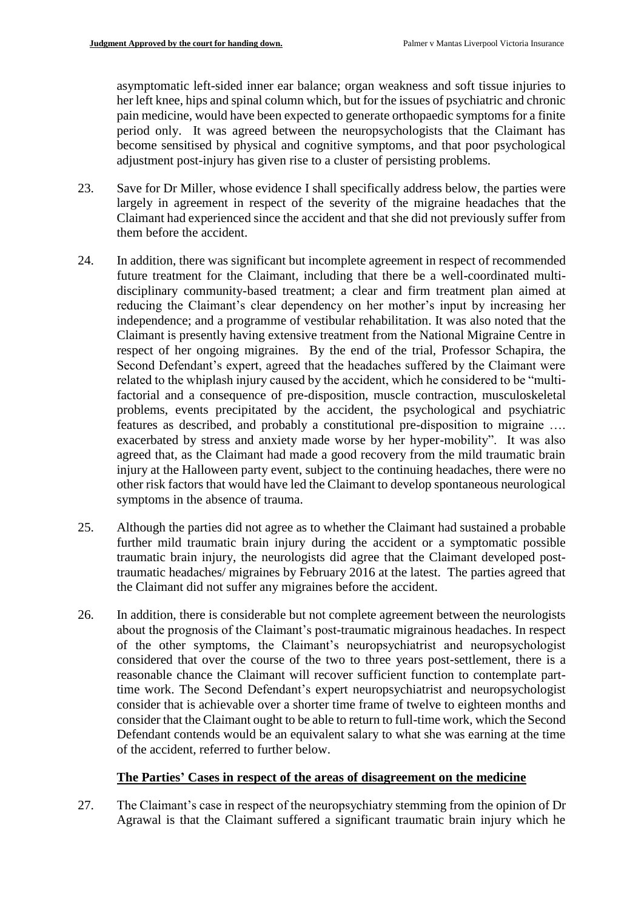asymptomatic left-sided inner ear balance; organ weakness and soft tissue injuries to her left knee, hips and spinal column which, but for the issues of psychiatric and chronic pain medicine, would have been expected to generate orthopaedic symptoms for a finite period only. It was agreed between the neuropsychologists that the Claimant has become sensitised by physical and cognitive symptoms, and that poor psychological adjustment post-injury has given rise to a cluster of persisting problems.

- 23. Save for Dr Miller, whose evidence I shall specifically address below, the parties were largely in agreement in respect of the severity of the migraine headaches that the Claimant had experienced since the accident and that she did not previously suffer from them before the accident.
- 24. In addition, there was significant but incomplete agreement in respect of recommended future treatment for the Claimant, including that there be a well-coordinated multidisciplinary community-based treatment; a clear and firm treatment plan aimed at reducing the Claimant's clear dependency on her mother's input by increasing her independence; and a programme of vestibular rehabilitation. It was also noted that the Claimant is presently having extensive treatment from the National Migraine Centre in respect of her ongoing migraines. By the end of the trial, Professor Schapira, the Second Defendant's expert, agreed that the headaches suffered by the Claimant were related to the whiplash injury caused by the accident, which he considered to be "multifactorial and a consequence of pre-disposition, muscle contraction, musculoskeletal problems, events precipitated by the accident, the psychological and psychiatric features as described, and probably a constitutional pre-disposition to migraine …. exacerbated by stress and anxiety made worse by her hyper-mobility". It was also agreed that, as the Claimant had made a good recovery from the mild traumatic brain injury at the Halloween party event, subject to the continuing headaches, there were no other risk factors that would have led the Claimant to develop spontaneous neurological symptoms in the absence of trauma.
- 25. Although the parties did not agree as to whether the Claimant had sustained a probable further mild traumatic brain injury during the accident or a symptomatic possible traumatic brain injury, the neurologists did agree that the Claimant developed posttraumatic headaches/ migraines by February 2016 at the latest. The parties agreed that the Claimant did not suffer any migraines before the accident.
- 26. In addition, there is considerable but not complete agreement between the neurologists about the prognosis of the Claimant's post-traumatic migrainous headaches. In respect of the other symptoms, the Claimant's neuropsychiatrist and neuropsychologist considered that over the course of the two to three years post-settlement, there is a reasonable chance the Claimant will recover sufficient function to contemplate parttime work. The Second Defendant's expert neuropsychiatrist and neuropsychologist consider that is achievable over a shorter time frame of twelve to eighteen months and consider that the Claimant ought to be able to return to full-time work, which the Second Defendant contends would be an equivalent salary to what she was earning at the time of the accident, referred to further below.

# **The Parties' Cases in respect of the areas of disagreement on the medicine**

27. The Claimant's case in respect of the neuropsychiatry stemming from the opinion of Dr Agrawal is that the Claimant suffered a significant traumatic brain injury which he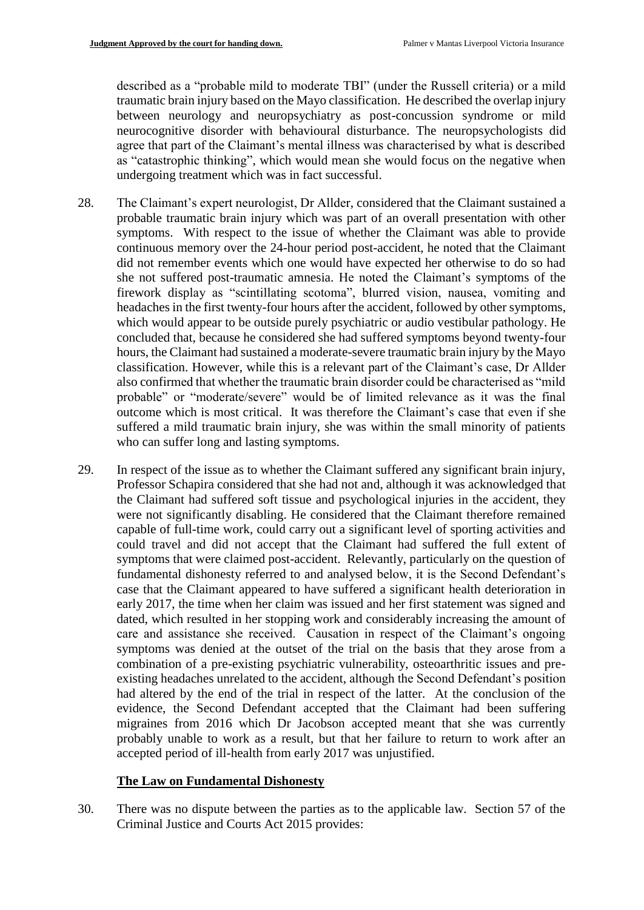described as a "probable mild to moderate TBI" (under the Russell criteria) or a mild traumatic brain injury based on the Mayo classification. He described the overlap injury between neurology and neuropsychiatry as post-concussion syndrome or mild neurocognitive disorder with behavioural disturbance. The neuropsychologists did agree that part of the Claimant's mental illness was characterised by what is described as "catastrophic thinking", which would mean she would focus on the negative when undergoing treatment which was in fact successful.

- 28. The Claimant's expert neurologist, Dr Allder, considered that the Claimant sustained a probable traumatic brain injury which was part of an overall presentation with other symptoms. With respect to the issue of whether the Claimant was able to provide continuous memory over the 24-hour period post-accident, he noted that the Claimant did not remember events which one would have expected her otherwise to do so had she not suffered post-traumatic amnesia. He noted the Claimant's symptoms of the firework display as "scintillating scotoma", blurred vision, nausea, vomiting and headaches in the first twenty-four hours after the accident, followed by other symptoms, which would appear to be outside purely psychiatric or audio vestibular pathology. He concluded that, because he considered she had suffered symptoms beyond twenty-four hours, the Claimant had sustained a moderate-severe traumatic brain injury by the Mayo classification. However, while this is a relevant part of the Claimant's case, Dr Allder also confirmed that whether the traumatic brain disorder could be characterised as "mild probable" or "moderate/severe" would be of limited relevance as it was the final outcome which is most critical. It was therefore the Claimant's case that even if she suffered a mild traumatic brain injury, she was within the small minority of patients who can suffer long and lasting symptoms.
- 29. In respect of the issue as to whether the Claimant suffered any significant brain injury, Professor Schapira considered that she had not and, although it was acknowledged that the Claimant had suffered soft tissue and psychological injuries in the accident, they were not significantly disabling. He considered that the Claimant therefore remained capable of full-time work, could carry out a significant level of sporting activities and could travel and did not accept that the Claimant had suffered the full extent of symptoms that were claimed post-accident. Relevantly, particularly on the question of fundamental dishonesty referred to and analysed below, it is the Second Defendant's case that the Claimant appeared to have suffered a significant health deterioration in early 2017, the time when her claim was issued and her first statement was signed and dated, which resulted in her stopping work and considerably increasing the amount of care and assistance she received. Causation in respect of the Claimant's ongoing symptoms was denied at the outset of the trial on the basis that they arose from a combination of a pre-existing psychiatric vulnerability, osteoarthritic issues and preexisting headaches unrelated to the accident, although the Second Defendant's position had altered by the end of the trial in respect of the latter. At the conclusion of the evidence, the Second Defendant accepted that the Claimant had been suffering migraines from 2016 which Dr Jacobson accepted meant that she was currently probably unable to work as a result, but that her failure to return to work after an accepted period of ill-health from early 2017 was unjustified.

## **The Law on Fundamental Dishonesty**

30. There was no dispute between the parties as to the applicable law. Section 57 of the Criminal Justice and Courts Act 2015 provides: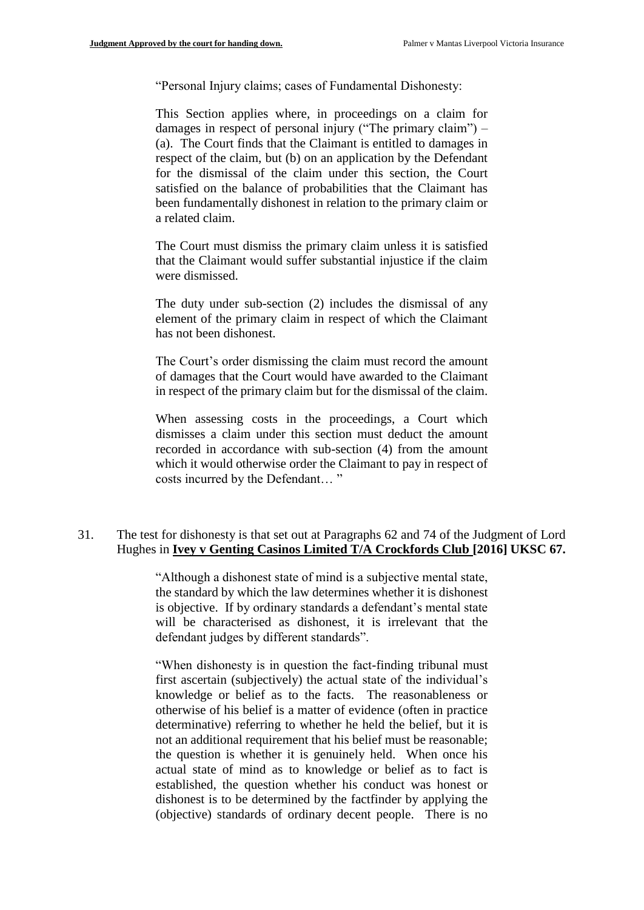"Personal Injury claims; cases of Fundamental Dishonesty:

This Section applies where, in proceedings on a claim for damages in respect of personal injury ("The primary claim") – (a). The Court finds that the Claimant is entitled to damages in respect of the claim, but (b) on an application by the Defendant for the dismissal of the claim under this section, the Court satisfied on the balance of probabilities that the Claimant has been fundamentally dishonest in relation to the primary claim or a related claim.

The Court must dismiss the primary claim unless it is satisfied that the Claimant would suffer substantial injustice if the claim were dismissed.

The duty under sub-section (2) includes the dismissal of any element of the primary claim in respect of which the Claimant has not been dishonest.

The Court's order dismissing the claim must record the amount of damages that the Court would have awarded to the Claimant in respect of the primary claim but for the dismissal of the claim.

When assessing costs in the proceedings, a Court which dismisses a claim under this section must deduct the amount recorded in accordance with sub-section (4) from the amount which it would otherwise order the Claimant to pay in respect of costs incurred by the Defendant… "

## 31. The test for dishonesty is that set out at Paragraphs 62 and 74 of the Judgment of Lord Hughes in **Ivey v Genting Casinos Limited T/A Crockfords Club [2016] UKSC 67.**

"Although a dishonest state of mind is a subjective mental state, the standard by which the law determines whether it is dishonest is objective. If by ordinary standards a defendant's mental state will be characterised as dishonest, it is irrelevant that the defendant judges by different standards".

"When dishonesty is in question the fact-finding tribunal must first ascertain (subjectively) the actual state of the individual's knowledge or belief as to the facts. The reasonableness or otherwise of his belief is a matter of evidence (often in practice determinative) referring to whether he held the belief, but it is not an additional requirement that his belief must be reasonable; the question is whether it is genuinely held. When once his actual state of mind as to knowledge or belief as to fact is established, the question whether his conduct was honest or dishonest is to be determined by the factfinder by applying the (objective) standards of ordinary decent people. There is no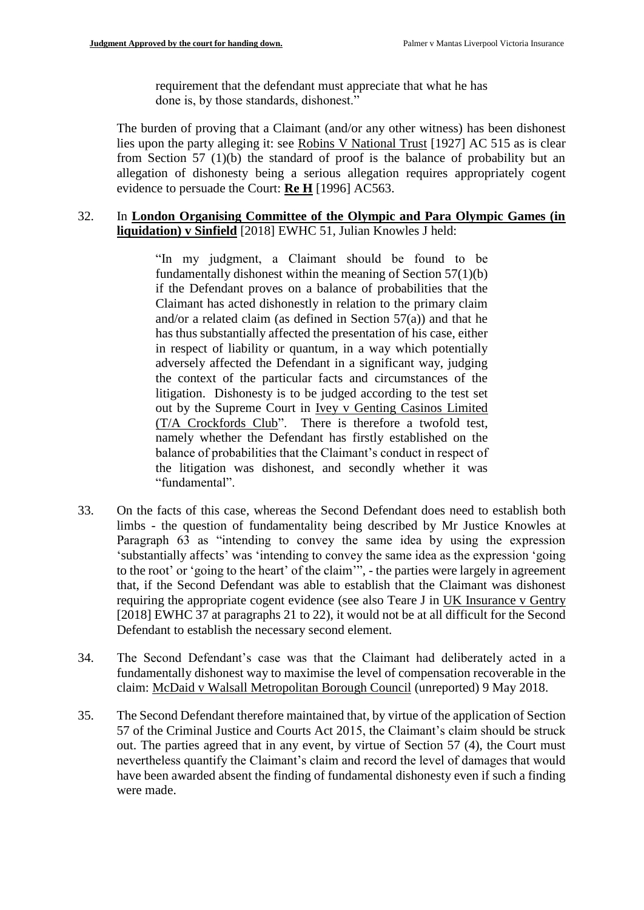requirement that the defendant must appreciate that what he has done is, by those standards, dishonest."

The burden of proving that a Claimant (and/or any other witness) has been dishonest lies upon the party alleging it: see Robins V National Trust [1927] AC 515 as is clear from Section 57 (1)(b) the standard of proof is the balance of probability but an allegation of dishonesty being a serious allegation requires appropriately cogent evidence to persuade the Court: **Re H** [1996] AC563.

# 32. In **London Organising Committee of the Olympic and Para Olympic Games (in liquidation) v Sinfield** [2018] EWHC 51, Julian Knowles J held:

"In my judgment, a Claimant should be found to be fundamentally dishonest within the meaning of Section 57(1)(b) if the Defendant proves on a balance of probabilities that the Claimant has acted dishonestly in relation to the primary claim and/or a related claim (as defined in Section 57(a)) and that he has thus substantially affected the presentation of his case, either in respect of liability or quantum, in a way which potentially adversely affected the Defendant in a significant way, judging the context of the particular facts and circumstances of the litigation. Dishonesty is to be judged according to the test set out by the Supreme Court in Ivey v Genting Casinos Limited (T/A Crockfords Club". There is therefore a twofold test, namely whether the Defendant has firstly established on the balance of probabilities that the Claimant's conduct in respect of the litigation was dishonest, and secondly whether it was "fundamental".

- 33. On the facts of this case, whereas the Second Defendant does need to establish both limbs - the question of fundamentality being described by Mr Justice Knowles at Paragraph 63 as "intending to convey the same idea by using the expression 'substantially affects' was 'intending to convey the same idea as the expression 'going to the root' or 'going to the heart' of the claim'", - the parties were largely in agreement that, if the Second Defendant was able to establish that the Claimant was dishonest requiring the appropriate cogent evidence (see also Teare J in UK Insurance v Gentry [2018] EWHC 37 at paragraphs 21 to 22), it would not be at all difficult for the Second Defendant to establish the necessary second element.
- 34. The Second Defendant's case was that the Claimant had deliberately acted in a fundamentally dishonest way to maximise the level of compensation recoverable in the claim: McDaid v Walsall Metropolitan Borough Council (unreported) 9 May 2018.
- 35. The Second Defendant therefore maintained that, by virtue of the application of Section 57 of the Criminal Justice and Courts Act 2015, the Claimant's claim should be struck out. The parties agreed that in any event, by virtue of Section 57 (4), the Court must nevertheless quantify the Claimant's claim and record the level of damages that would have been awarded absent the finding of fundamental dishonesty even if such a finding were made.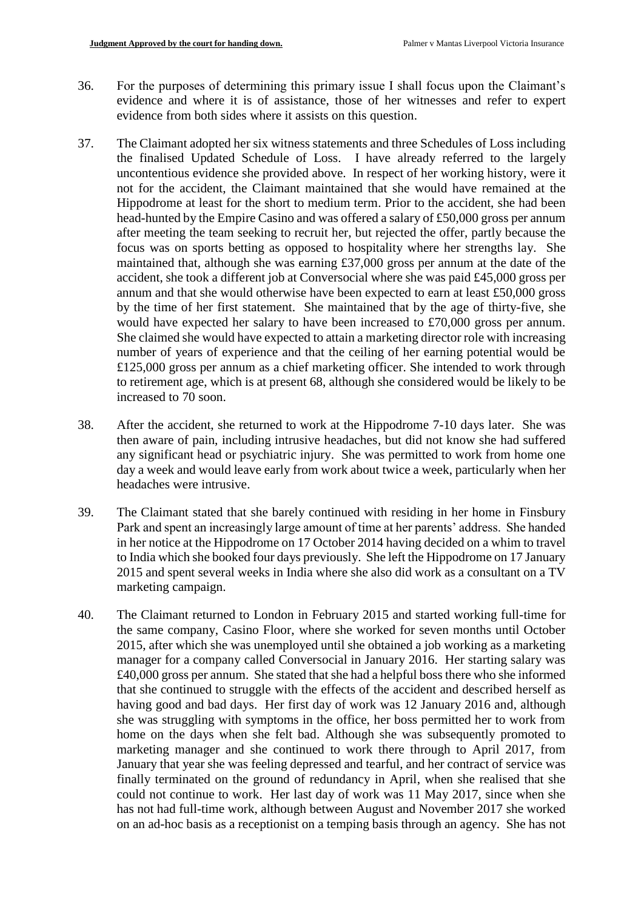- 36. For the purposes of determining this primary issue I shall focus upon the Claimant's evidence and where it is of assistance, those of her witnesses and refer to expert evidence from both sides where it assists on this question.
- 37. The Claimant adopted her six witness statements and three Schedules of Loss including the finalised Updated Schedule of Loss. I have already referred to the largely uncontentious evidence she provided above. In respect of her working history, were it not for the accident, the Claimant maintained that she would have remained at the Hippodrome at least for the short to medium term. Prior to the accident, she had been head-hunted by the Empire Casino and was offered a salary of £50,000 gross per annum after meeting the team seeking to recruit her, but rejected the offer, partly because the focus was on sports betting as opposed to hospitality where her strengths lay. She maintained that, although she was earning £37,000 gross per annum at the date of the accident, she took a different job at Conversocial where she was paid £45,000 gross per annum and that she would otherwise have been expected to earn at least £50,000 gross by the time of her first statement. She maintained that by the age of thirty-five, she would have expected her salary to have been increased to £70,000 gross per annum. She claimed she would have expected to attain a marketing director role with increasing number of years of experience and that the ceiling of her earning potential would be £125,000 gross per annum as a chief marketing officer. She intended to work through to retirement age, which is at present 68, although she considered would be likely to be increased to 70 soon.
- 38. After the accident, she returned to work at the Hippodrome 7-10 days later. She was then aware of pain, including intrusive headaches, but did not know she had suffered any significant head or psychiatric injury. She was permitted to work from home one day a week and would leave early from work about twice a week, particularly when her headaches were intrusive.
- 39. The Claimant stated that she barely continued with residing in her home in Finsbury Park and spent an increasingly large amount of time at her parents' address. She handed in her notice at the Hippodrome on 17 October 2014 having decided on a whim to travel to India which she booked four days previously. She left the Hippodrome on 17 January 2015 and spent several weeks in India where she also did work as a consultant on a TV marketing campaign.
- 40. The Claimant returned to London in February 2015 and started working full-time for the same company, Casino Floor, where she worked for seven months until October 2015, after which she was unemployed until she obtained a job working as a marketing manager for a company called Conversocial in January 2016. Her starting salary was £40,000 gross per annum. She stated that she had a helpful boss there who she informed that she continued to struggle with the effects of the accident and described herself as having good and bad days. Her first day of work was 12 January 2016 and, although she was struggling with symptoms in the office, her boss permitted her to work from home on the days when she felt bad. Although she was subsequently promoted to marketing manager and she continued to work there through to April 2017, from January that year she was feeling depressed and tearful, and her contract of service was finally terminated on the ground of redundancy in April, when she realised that she could not continue to work. Her last day of work was 11 May 2017, since when she has not had full-time work, although between August and November 2017 she worked on an ad-hoc basis as a receptionist on a temping basis through an agency. She has not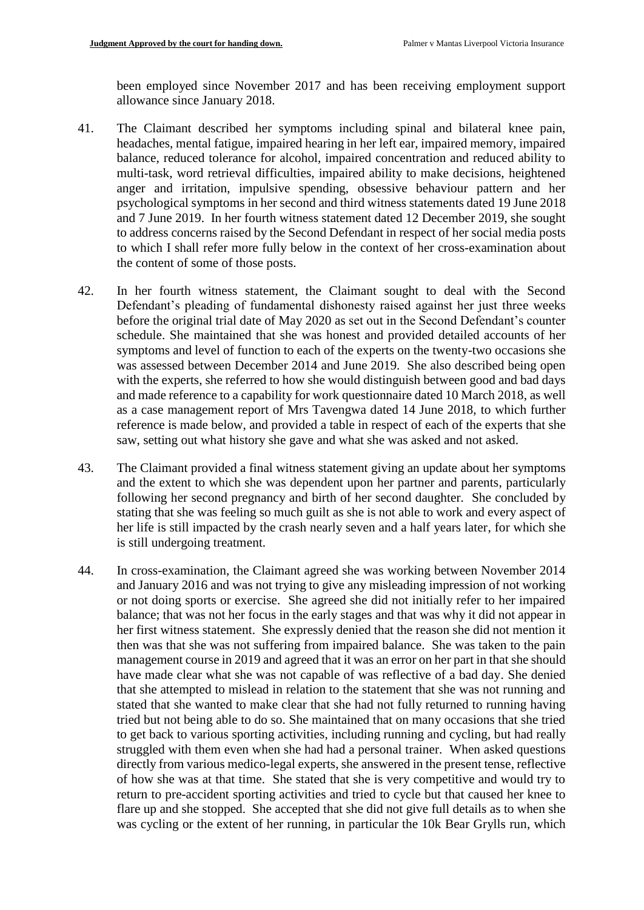been employed since November 2017 and has been receiving employment support allowance since January 2018.

- 41. The Claimant described her symptoms including spinal and bilateral knee pain, headaches, mental fatigue, impaired hearing in her left ear, impaired memory, impaired balance, reduced tolerance for alcohol, impaired concentration and reduced ability to multi-task, word retrieval difficulties, impaired ability to make decisions, heightened anger and irritation, impulsive spending, obsessive behaviour pattern and her psychological symptoms in her second and third witness statements dated 19 June 2018 and 7 June 2019. In her fourth witness statement dated 12 December 2019, she sought to address concerns raised by the Second Defendant in respect of her social media posts to which I shall refer more fully below in the context of her cross-examination about the content of some of those posts.
- 42. In her fourth witness statement, the Claimant sought to deal with the Second Defendant's pleading of fundamental dishonesty raised against her just three weeks before the original trial date of May 2020 as set out in the Second Defendant's counter schedule. She maintained that she was honest and provided detailed accounts of her symptoms and level of function to each of the experts on the twenty-two occasions she was assessed between December 2014 and June 2019. She also described being open with the experts, she referred to how she would distinguish between good and bad days and made reference to a capability for work questionnaire dated 10 March 2018, as well as a case management report of Mrs Tavengwa dated 14 June 2018, to which further reference is made below, and provided a table in respect of each of the experts that she saw, setting out what history she gave and what she was asked and not asked.
- 43. The Claimant provided a final witness statement giving an update about her symptoms and the extent to which she was dependent upon her partner and parents, particularly following her second pregnancy and birth of her second daughter. She concluded by stating that she was feeling so much guilt as she is not able to work and every aspect of her life is still impacted by the crash nearly seven and a half years later, for which she is still undergoing treatment.
- 44. In cross-examination, the Claimant agreed she was working between November 2014 and January 2016 and was not trying to give any misleading impression of not working or not doing sports or exercise. She agreed she did not initially refer to her impaired balance; that was not her focus in the early stages and that was why it did not appear in her first witness statement. She expressly denied that the reason she did not mention it then was that she was not suffering from impaired balance. She was taken to the pain management course in 2019 and agreed that it was an error on her part in that she should have made clear what she was not capable of was reflective of a bad day. She denied that she attempted to mislead in relation to the statement that she was not running and stated that she wanted to make clear that she had not fully returned to running having tried but not being able to do so. She maintained that on many occasions that she tried to get back to various sporting activities, including running and cycling, but had really struggled with them even when she had had a personal trainer. When asked questions directly from various medico-legal experts, she answered in the present tense, reflective of how she was at that time. She stated that she is very competitive and would try to return to pre-accident sporting activities and tried to cycle but that caused her knee to flare up and she stopped. She accepted that she did not give full details as to when she was cycling or the extent of her running, in particular the 10k Bear Grylls run, which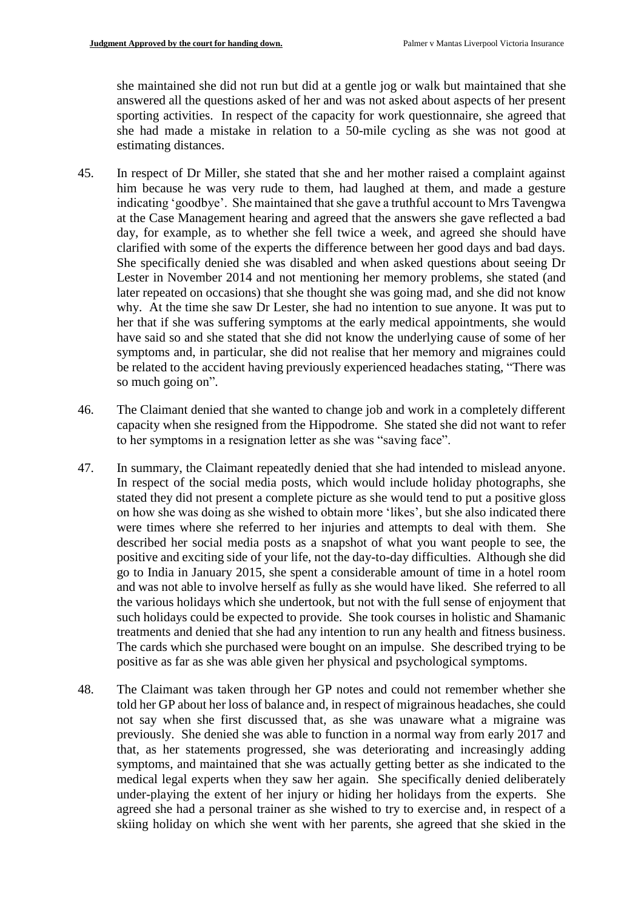she maintained she did not run but did at a gentle jog or walk but maintained that she answered all the questions asked of her and was not asked about aspects of her present sporting activities. In respect of the capacity for work questionnaire, she agreed that she had made a mistake in relation to a 50-mile cycling as she was not good at estimating distances.

- 45. In respect of Dr Miller, she stated that she and her mother raised a complaint against him because he was very rude to them, had laughed at them, and made a gesture indicating 'goodbye'. She maintained that she gave a truthful account to Mrs Tavengwa at the Case Management hearing and agreed that the answers she gave reflected a bad day, for example, as to whether she fell twice a week, and agreed she should have clarified with some of the experts the difference between her good days and bad days. She specifically denied she was disabled and when asked questions about seeing Dr Lester in November 2014 and not mentioning her memory problems, she stated (and later repeated on occasions) that she thought she was going mad, and she did not know why. At the time she saw Dr Lester, she had no intention to sue anyone. It was put to her that if she was suffering symptoms at the early medical appointments, she would have said so and she stated that she did not know the underlying cause of some of her symptoms and, in particular, she did not realise that her memory and migraines could be related to the accident having previously experienced headaches stating, "There was so much going on".
- 46. The Claimant denied that she wanted to change job and work in a completely different capacity when she resigned from the Hippodrome. She stated she did not want to refer to her symptoms in a resignation letter as she was "saving face".
- 47. In summary, the Claimant repeatedly denied that she had intended to mislead anyone. In respect of the social media posts, which would include holiday photographs, she stated they did not present a complete picture as she would tend to put a positive gloss on how she was doing as she wished to obtain more 'likes', but she also indicated there were times where she referred to her injuries and attempts to deal with them. She described her social media posts as a snapshot of what you want people to see, the positive and exciting side of your life, not the day-to-day difficulties. Although she did go to India in January 2015, she spent a considerable amount of time in a hotel room and was not able to involve herself as fully as she would have liked. She referred to all the various holidays which she undertook, but not with the full sense of enjoyment that such holidays could be expected to provide. She took courses in holistic and Shamanic treatments and denied that she had any intention to run any health and fitness business. The cards which she purchased were bought on an impulse. She described trying to be positive as far as she was able given her physical and psychological symptoms.
- 48. The Claimant was taken through her GP notes and could not remember whether she told her GP about her loss of balance and, in respect of migrainous headaches, she could not say when she first discussed that, as she was unaware what a migraine was previously. She denied she was able to function in a normal way from early 2017 and that, as her statements progressed, she was deteriorating and increasingly adding symptoms, and maintained that she was actually getting better as she indicated to the medical legal experts when they saw her again. She specifically denied deliberately under-playing the extent of her injury or hiding her holidays from the experts. She agreed she had a personal trainer as she wished to try to exercise and, in respect of a skiing holiday on which she went with her parents, she agreed that she skied in the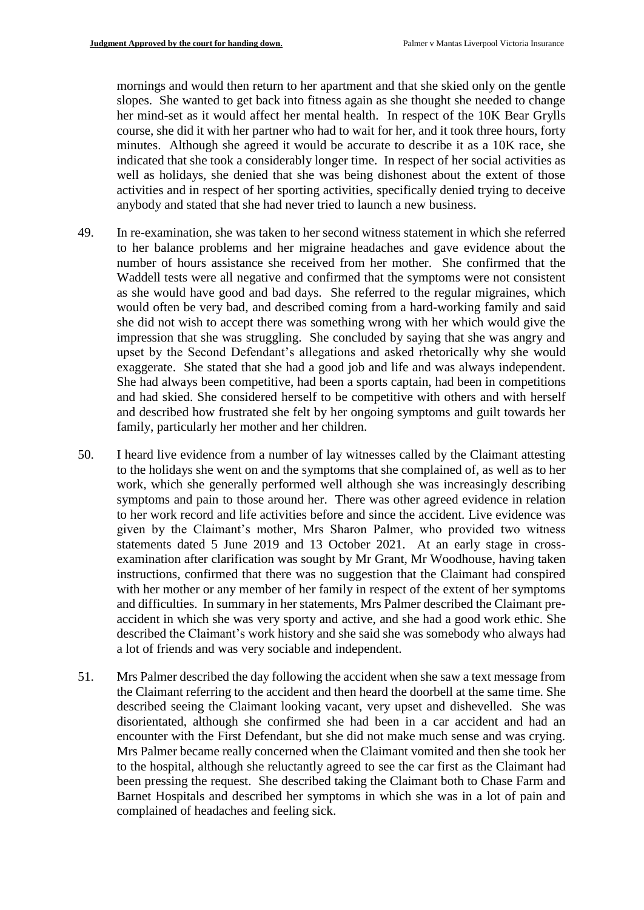mornings and would then return to her apartment and that she skied only on the gentle slopes. She wanted to get back into fitness again as she thought she needed to change her mind-set as it would affect her mental health. In respect of the 10K Bear Grylls course, she did it with her partner who had to wait for her, and it took three hours, forty minutes. Although she agreed it would be accurate to describe it as a 10K race, she indicated that she took a considerably longer time. In respect of her social activities as well as holidays, she denied that she was being dishonest about the extent of those activities and in respect of her sporting activities, specifically denied trying to deceive anybody and stated that she had never tried to launch a new business.

- 49. In re-examination, she was taken to her second witness statement in which she referred to her balance problems and her migraine headaches and gave evidence about the number of hours assistance she received from her mother. She confirmed that the Waddell tests were all negative and confirmed that the symptoms were not consistent as she would have good and bad days. She referred to the regular migraines, which would often be very bad, and described coming from a hard-working family and said she did not wish to accept there was something wrong with her which would give the impression that she was struggling. She concluded by saying that she was angry and upset by the Second Defendant's allegations and asked rhetorically why she would exaggerate. She stated that she had a good job and life and was always independent. She had always been competitive, had been a sports captain, had been in competitions and had skied. She considered herself to be competitive with others and with herself and described how frustrated she felt by her ongoing symptoms and guilt towards her family, particularly her mother and her children.
- 50. I heard live evidence from a number of lay witnesses called by the Claimant attesting to the holidays she went on and the symptoms that she complained of, as well as to her work, which she generally performed well although she was increasingly describing symptoms and pain to those around her. There was other agreed evidence in relation to her work record and life activities before and since the accident. Live evidence was given by the Claimant's mother, Mrs Sharon Palmer, who provided two witness statements dated 5 June 2019 and 13 October 2021. At an early stage in crossexamination after clarification was sought by Mr Grant, Mr Woodhouse, having taken instructions, confirmed that there was no suggestion that the Claimant had conspired with her mother or any member of her family in respect of the extent of her symptoms and difficulties. In summary in her statements, Mrs Palmer described the Claimant preaccident in which she was very sporty and active, and she had a good work ethic. She described the Claimant's work history and she said she was somebody who always had a lot of friends and was very sociable and independent.
- 51. Mrs Palmer described the day following the accident when she saw a text message from the Claimant referring to the accident and then heard the doorbell at the same time. She described seeing the Claimant looking vacant, very upset and dishevelled. She was disorientated, although she confirmed she had been in a car accident and had an encounter with the First Defendant, but she did not make much sense and was crying. Mrs Palmer became really concerned when the Claimant vomited and then she took her to the hospital, although she reluctantly agreed to see the car first as the Claimant had been pressing the request. She described taking the Claimant both to Chase Farm and Barnet Hospitals and described her symptoms in which she was in a lot of pain and complained of headaches and feeling sick.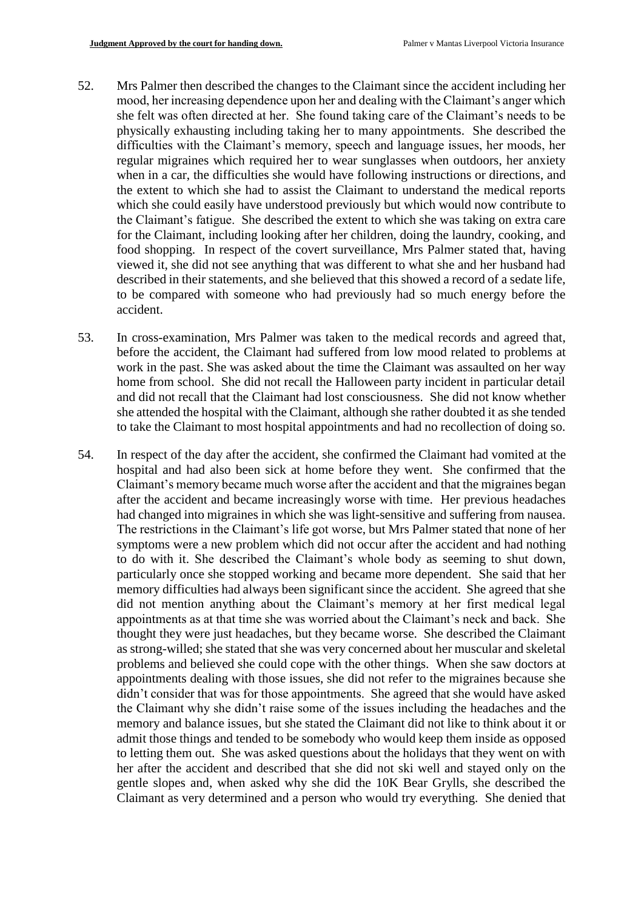- 52. Mrs Palmer then described the changes to the Claimant since the accident including her mood, her increasing dependence upon her and dealing with the Claimant's anger which she felt was often directed at her. She found taking care of the Claimant's needs to be physically exhausting including taking her to many appointments. She described the difficulties with the Claimant's memory, speech and language issues, her moods, her regular migraines which required her to wear sunglasses when outdoors, her anxiety when in a car, the difficulties she would have following instructions or directions, and the extent to which she had to assist the Claimant to understand the medical reports which she could easily have understood previously but which would now contribute to the Claimant's fatigue. She described the extent to which she was taking on extra care for the Claimant, including looking after her children, doing the laundry, cooking, and food shopping. In respect of the covert surveillance, Mrs Palmer stated that, having viewed it, she did not see anything that was different to what she and her husband had described in their statements, and she believed that this showed a record of a sedate life, to be compared with someone who had previously had so much energy before the accident.
- 53. In cross-examination, Mrs Palmer was taken to the medical records and agreed that, before the accident, the Claimant had suffered from low mood related to problems at work in the past. She was asked about the time the Claimant was assaulted on her way home from school. She did not recall the Halloween party incident in particular detail and did not recall that the Claimant had lost consciousness. She did not know whether she attended the hospital with the Claimant, although she rather doubted it as she tended to take the Claimant to most hospital appointments and had no recollection of doing so.
- 54. In respect of the day after the accident, she confirmed the Claimant had vomited at the hospital and had also been sick at home before they went. She confirmed that the Claimant's memory became much worse after the accident and that the migraines began after the accident and became increasingly worse with time. Her previous headaches had changed into migraines in which she was light-sensitive and suffering from nausea. The restrictions in the Claimant's life got worse, but Mrs Palmer stated that none of her symptoms were a new problem which did not occur after the accident and had nothing to do with it. She described the Claimant's whole body as seeming to shut down, particularly once she stopped working and became more dependent. She said that her memory difficulties had always been significant since the accident. She agreed that she did not mention anything about the Claimant's memory at her first medical legal appointments as at that time she was worried about the Claimant's neck and back. She thought they were just headaches, but they became worse. She described the Claimant as strong-willed; she stated that she was very concerned about her muscular and skeletal problems and believed she could cope with the other things. When she saw doctors at appointments dealing with those issues, she did not refer to the migraines because she didn't consider that was for those appointments. She agreed that she would have asked the Claimant why she didn't raise some of the issues including the headaches and the memory and balance issues, but she stated the Claimant did not like to think about it or admit those things and tended to be somebody who would keep them inside as opposed to letting them out. She was asked questions about the holidays that they went on with her after the accident and described that she did not ski well and stayed only on the gentle slopes and, when asked why she did the 10K Bear Grylls, she described the Claimant as very determined and a person who would try everything. She denied that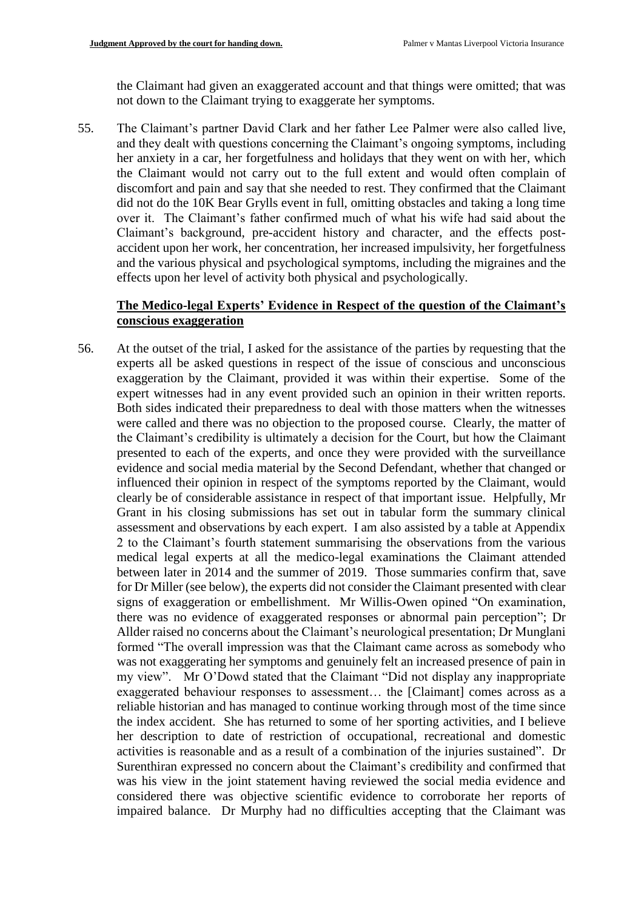the Claimant had given an exaggerated account and that things were omitted; that was not down to the Claimant trying to exaggerate her symptoms.

55. The Claimant's partner David Clark and her father Lee Palmer were also called live, and they dealt with questions concerning the Claimant's ongoing symptoms, including her anxiety in a car, her forgetfulness and holidays that they went on with her, which the Claimant would not carry out to the full extent and would often complain of discomfort and pain and say that she needed to rest. They confirmed that the Claimant did not do the 10K Bear Grylls event in full, omitting obstacles and taking a long time over it. The Claimant's father confirmed much of what his wife had said about the Claimant's background, pre-accident history and character, and the effects postaccident upon her work, her concentration, her increased impulsivity, her forgetfulness and the various physical and psychological symptoms, including the migraines and the effects upon her level of activity both physical and psychologically.

## **The Medico-legal Experts' Evidence in Respect of the question of the Claimant's conscious exaggeration**

56. At the outset of the trial, I asked for the assistance of the parties by requesting that the experts all be asked questions in respect of the issue of conscious and unconscious exaggeration by the Claimant, provided it was within their expertise. Some of the expert witnesses had in any event provided such an opinion in their written reports. Both sides indicated their preparedness to deal with those matters when the witnesses were called and there was no objection to the proposed course. Clearly, the matter of the Claimant's credibility is ultimately a decision for the Court, but how the Claimant presented to each of the experts, and once they were provided with the surveillance evidence and social media material by the Second Defendant, whether that changed or influenced their opinion in respect of the symptoms reported by the Claimant, would clearly be of considerable assistance in respect of that important issue. Helpfully, Mr Grant in his closing submissions has set out in tabular form the summary clinical assessment and observations by each expert. I am also assisted by a table at Appendix 2 to the Claimant's fourth statement summarising the observations from the various medical legal experts at all the medico-legal examinations the Claimant attended between later in 2014 and the summer of 2019. Those summaries confirm that, save for Dr Miller (see below), the experts did not consider the Claimant presented with clear signs of exaggeration or embellishment. Mr Willis-Owen opined "On examination, there was no evidence of exaggerated responses or abnormal pain perception"; Dr Allder raised no concerns about the Claimant's neurological presentation; Dr Munglani formed "The overall impression was that the Claimant came across as somebody who was not exaggerating her symptoms and genuinely felt an increased presence of pain in my view". Mr O'Dowd stated that the Claimant "Did not display any inappropriate exaggerated behaviour responses to assessment… the [Claimant] comes across as a reliable historian and has managed to continue working through most of the time since the index accident. She has returned to some of her sporting activities, and I believe her description to date of restriction of occupational, recreational and domestic activities is reasonable and as a result of a combination of the injuries sustained". Dr Surenthiran expressed no concern about the Claimant's credibility and confirmed that was his view in the joint statement having reviewed the social media evidence and considered there was objective scientific evidence to corroborate her reports of impaired balance. Dr Murphy had no difficulties accepting that the Claimant was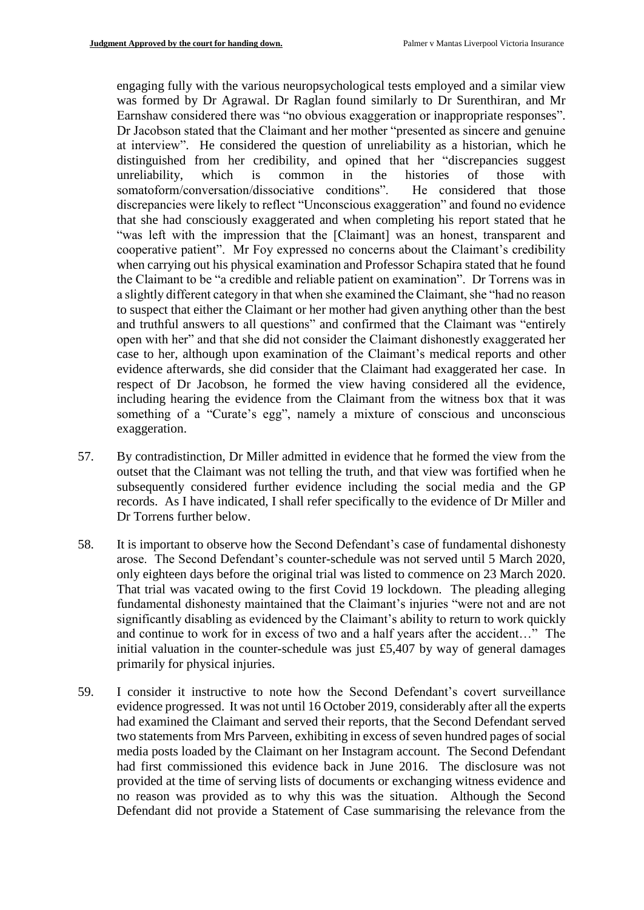engaging fully with the various neuropsychological tests employed and a similar view was formed by Dr Agrawal. Dr Raglan found similarly to Dr Surenthiran, and Mr Earnshaw considered there was "no obvious exaggeration or inappropriate responses". Dr Jacobson stated that the Claimant and her mother "presented as sincere and genuine at interview". He considered the question of unreliability as a historian, which he distinguished from her credibility, and opined that her "discrepancies suggest unreliability, which is common in the histories of those with somatoform/conversation/dissociative conditions". He considered that those discrepancies were likely to reflect "Unconscious exaggeration" and found no evidence that she had consciously exaggerated and when completing his report stated that he "was left with the impression that the [Claimant] was an honest, transparent and cooperative patient". Mr Foy expressed no concerns about the Claimant's credibility when carrying out his physical examination and Professor Schapira stated that he found the Claimant to be "a credible and reliable patient on examination". Dr Torrens was in a slightly different category in that when she examined the Claimant, she "had no reason to suspect that either the Claimant or her mother had given anything other than the best and truthful answers to all questions" and confirmed that the Claimant was "entirely open with her" and that she did not consider the Claimant dishonestly exaggerated her case to her, although upon examination of the Claimant's medical reports and other evidence afterwards, she did consider that the Claimant had exaggerated her case. In respect of Dr Jacobson, he formed the view having considered all the evidence, including hearing the evidence from the Claimant from the witness box that it was something of a "Curate's egg", namely a mixture of conscious and unconscious exaggeration.

- 57. By contradistinction, Dr Miller admitted in evidence that he formed the view from the outset that the Claimant was not telling the truth, and that view was fortified when he subsequently considered further evidence including the social media and the GP records. As I have indicated, I shall refer specifically to the evidence of Dr Miller and Dr Torrens further below.
- 58. It is important to observe how the Second Defendant's case of fundamental dishonesty arose. The Second Defendant's counter-schedule was not served until 5 March 2020, only eighteen days before the original trial was listed to commence on 23 March 2020. That trial was vacated owing to the first Covid 19 lockdown. The pleading alleging fundamental dishonesty maintained that the Claimant's injuries "were not and are not significantly disabling as evidenced by the Claimant's ability to return to work quickly and continue to work for in excess of two and a half years after the accident…" The initial valuation in the counter-schedule was just £5,407 by way of general damages primarily for physical injuries.
- 59. I consider it instructive to note how the Second Defendant's covert surveillance evidence progressed. It was not until 16 October 2019, considerably after all the experts had examined the Claimant and served their reports, that the Second Defendant served two statements from Mrs Parveen, exhibiting in excess of seven hundred pages of social media posts loaded by the Claimant on her Instagram account. The Second Defendant had first commissioned this evidence back in June 2016. The disclosure was not provided at the time of serving lists of documents or exchanging witness evidence and no reason was provided as to why this was the situation. Although the Second Defendant did not provide a Statement of Case summarising the relevance from the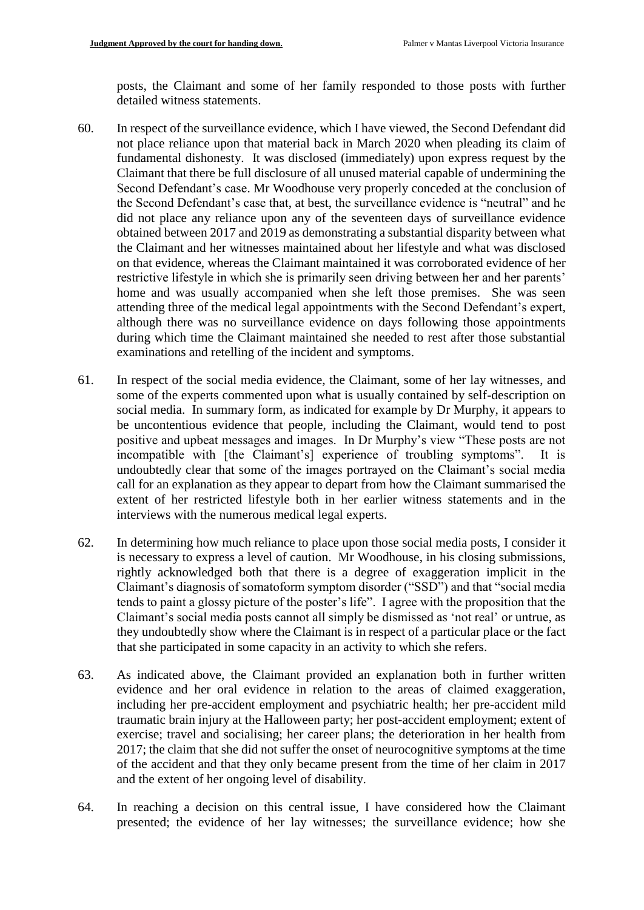posts, the Claimant and some of her family responded to those posts with further detailed witness statements.

- 60. In respect of the surveillance evidence, which I have viewed, the Second Defendant did not place reliance upon that material back in March 2020 when pleading its claim of fundamental dishonesty. It was disclosed (immediately) upon express request by the Claimant that there be full disclosure of all unused material capable of undermining the Second Defendant's case. Mr Woodhouse very properly conceded at the conclusion of the Second Defendant's case that, at best, the surveillance evidence is "neutral" and he did not place any reliance upon any of the seventeen days of surveillance evidence obtained between 2017 and 2019 as demonstrating a substantial disparity between what the Claimant and her witnesses maintained about her lifestyle and what was disclosed on that evidence, whereas the Claimant maintained it was corroborated evidence of her restrictive lifestyle in which she is primarily seen driving between her and her parents' home and was usually accompanied when she left those premises. She was seen attending three of the medical legal appointments with the Second Defendant's expert, although there was no surveillance evidence on days following those appointments during which time the Claimant maintained she needed to rest after those substantial examinations and retelling of the incident and symptoms.
- 61. In respect of the social media evidence, the Claimant, some of her lay witnesses, and some of the experts commented upon what is usually contained by self-description on social media. In summary form, as indicated for example by Dr Murphy, it appears to be uncontentious evidence that people, including the Claimant, would tend to post positive and upbeat messages and images. In Dr Murphy's view "These posts are not incompatible with [the Claimant's] experience of troubling symptoms". It is undoubtedly clear that some of the images portrayed on the Claimant's social media call for an explanation as they appear to depart from how the Claimant summarised the extent of her restricted lifestyle both in her earlier witness statements and in the interviews with the numerous medical legal experts.
- 62. In determining how much reliance to place upon those social media posts, I consider it is necessary to express a level of caution. Mr Woodhouse, in his closing submissions, rightly acknowledged both that there is a degree of exaggeration implicit in the Claimant's diagnosis of somatoform symptom disorder ("SSD") and that "social media tends to paint a glossy picture of the poster's life". I agree with the proposition that the Claimant's social media posts cannot all simply be dismissed as 'not real' or untrue, as they undoubtedly show where the Claimant is in respect of a particular place or the fact that she participated in some capacity in an activity to which she refers.
- 63. As indicated above, the Claimant provided an explanation both in further written evidence and her oral evidence in relation to the areas of claimed exaggeration, including her pre-accident employment and psychiatric health; her pre-accident mild traumatic brain injury at the Halloween party; her post-accident employment; extent of exercise; travel and socialising; her career plans; the deterioration in her health from 2017; the claim that she did not suffer the onset of neurocognitive symptoms at the time of the accident and that they only became present from the time of her claim in 2017 and the extent of her ongoing level of disability.
- 64. In reaching a decision on this central issue, I have considered how the Claimant presented; the evidence of her lay witnesses; the surveillance evidence; how she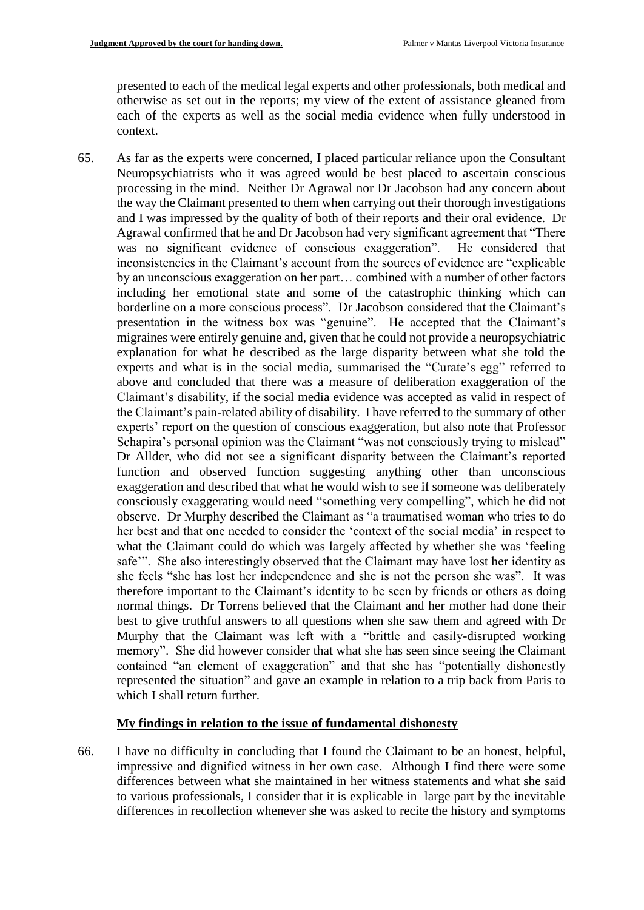presented to each of the medical legal experts and other professionals, both medical and otherwise as set out in the reports; my view of the extent of assistance gleaned from each of the experts as well as the social media evidence when fully understood in context.

65. As far as the experts were concerned, I placed particular reliance upon the Consultant Neuropsychiatrists who it was agreed would be best placed to ascertain conscious processing in the mind. Neither Dr Agrawal nor Dr Jacobson had any concern about the way the Claimant presented to them when carrying out their thorough investigations and I was impressed by the quality of both of their reports and their oral evidence. Dr Agrawal confirmed that he and Dr Jacobson had very significant agreement that "There was no significant evidence of conscious exaggeration". He considered that inconsistencies in the Claimant's account from the sources of evidence are "explicable by an unconscious exaggeration on her part… combined with a number of other factors including her emotional state and some of the catastrophic thinking which can borderline on a more conscious process". Dr Jacobson considered that the Claimant's presentation in the witness box was "genuine". He accepted that the Claimant's migraines were entirely genuine and, given that he could not provide a neuropsychiatric explanation for what he described as the large disparity between what she told the experts and what is in the social media, summarised the "Curate's egg" referred to above and concluded that there was a measure of deliberation exaggeration of the Claimant's disability, if the social media evidence was accepted as valid in respect of the Claimant's pain-related ability of disability. I have referred to the summary of other experts' report on the question of conscious exaggeration, but also note that Professor Schapira's personal opinion was the Claimant "was not consciously trying to mislead" Dr Allder, who did not see a significant disparity between the Claimant's reported function and observed function suggesting anything other than unconscious exaggeration and described that what he would wish to see if someone was deliberately consciously exaggerating would need "something very compelling", which he did not observe. Dr Murphy described the Claimant as "a traumatised woman who tries to do her best and that one needed to consider the 'context of the social media' in respect to what the Claimant could do which was largely affected by whether she was 'feeling safe'". She also interestingly observed that the Claimant may have lost her identity as she feels "she has lost her independence and she is not the person she was". It was therefore important to the Claimant's identity to be seen by friends or others as doing normal things. Dr Torrens believed that the Claimant and her mother had done their best to give truthful answers to all questions when she saw them and agreed with Dr Murphy that the Claimant was left with a "brittle and easily-disrupted working memory". She did however consider that what she has seen since seeing the Claimant contained "an element of exaggeration" and that she has "potentially dishonestly represented the situation" and gave an example in relation to a trip back from Paris to which I shall return further.

#### **My findings in relation to the issue of fundamental dishonesty**

66. I have no difficulty in concluding that I found the Claimant to be an honest, helpful, impressive and dignified witness in her own case. Although I find there were some differences between what she maintained in her witness statements and what she said to various professionals, I consider that it is explicable in large part by the inevitable differences in recollection whenever she was asked to recite the history and symptoms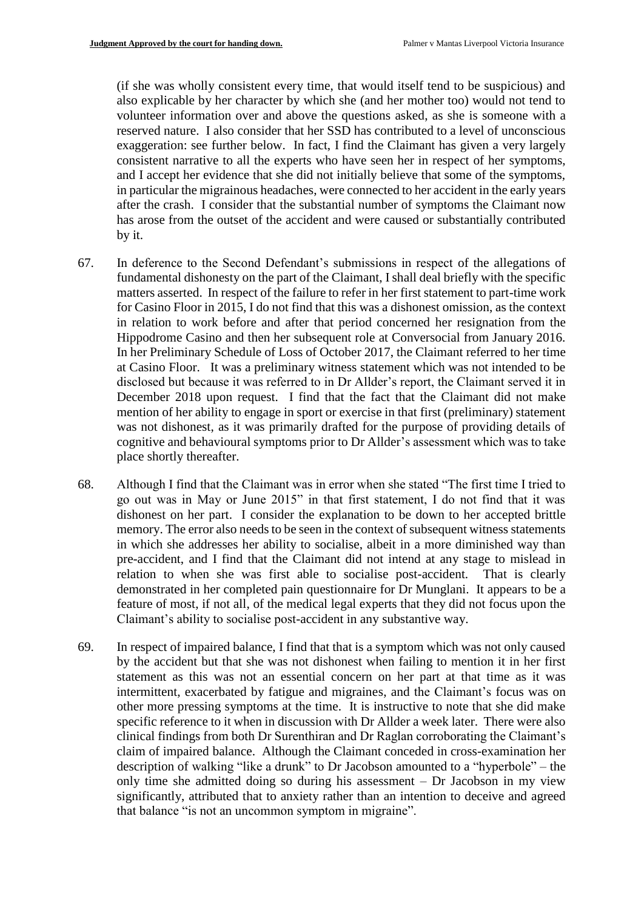(if she was wholly consistent every time, that would itself tend to be suspicious) and also explicable by her character by which she (and her mother too) would not tend to volunteer information over and above the questions asked, as she is someone with a reserved nature. I also consider that her SSD has contributed to a level of unconscious exaggeration: see further below. In fact, I find the Claimant has given a very largely consistent narrative to all the experts who have seen her in respect of her symptoms, and I accept her evidence that she did not initially believe that some of the symptoms, in particular the migrainous headaches, were connected to her accident in the early years after the crash. I consider that the substantial number of symptoms the Claimant now has arose from the outset of the accident and were caused or substantially contributed by it.

- 67. In deference to the Second Defendant's submissions in respect of the allegations of fundamental dishonesty on the part of the Claimant, I shall deal briefly with the specific matters asserted. In respect of the failure to refer in her first statement to part-time work for Casino Floor in 2015, I do not find that this was a dishonest omission, as the context in relation to work before and after that period concerned her resignation from the Hippodrome Casino and then her subsequent role at Conversocial from January 2016. In her Preliminary Schedule of Loss of October 2017, the Claimant referred to her time at Casino Floor. It was a preliminary witness statement which was not intended to be disclosed but because it was referred to in Dr Allder's report, the Claimant served it in December 2018 upon request. I find that the fact that the Claimant did not make mention of her ability to engage in sport or exercise in that first (preliminary) statement was not dishonest, as it was primarily drafted for the purpose of providing details of cognitive and behavioural symptoms prior to Dr Allder's assessment which was to take place shortly thereafter.
- 68. Although I find that the Claimant was in error when she stated "The first time I tried to go out was in May or June 2015" in that first statement, I do not find that it was dishonest on her part. I consider the explanation to be down to her accepted brittle memory. The error also needs to be seen in the context of subsequent witness statements in which she addresses her ability to socialise, albeit in a more diminished way than pre-accident, and I find that the Claimant did not intend at any stage to mislead in relation to when she was first able to socialise post-accident. That is clearly demonstrated in her completed pain questionnaire for Dr Munglani. It appears to be a feature of most, if not all, of the medical legal experts that they did not focus upon the Claimant's ability to socialise post-accident in any substantive way.
- 69. In respect of impaired balance, I find that that is a symptom which was not only caused by the accident but that she was not dishonest when failing to mention it in her first statement as this was not an essential concern on her part at that time as it was intermittent, exacerbated by fatigue and migraines, and the Claimant's focus was on other more pressing symptoms at the time. It is instructive to note that she did make specific reference to it when in discussion with Dr Allder a week later. There were also clinical findings from both Dr Surenthiran and Dr Raglan corroborating the Claimant's claim of impaired balance. Although the Claimant conceded in cross-examination her description of walking "like a drunk" to Dr Jacobson amounted to a "hyperbole" – the only time she admitted doing so during his assessment – Dr Jacobson in my view significantly, attributed that to anxiety rather than an intention to deceive and agreed that balance "is not an uncommon symptom in migraine".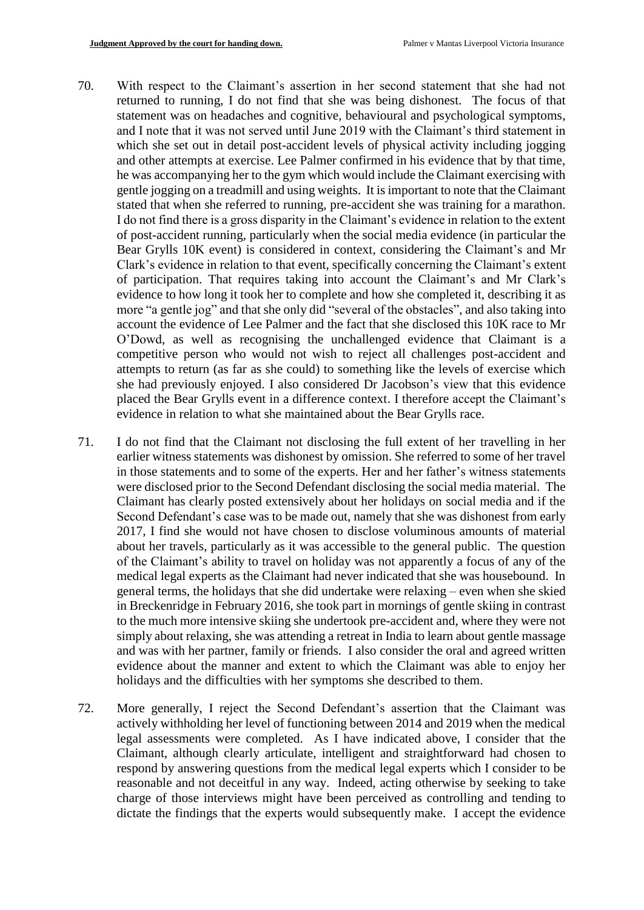- 70. With respect to the Claimant's assertion in her second statement that she had not returned to running, I do not find that she was being dishonest. The focus of that statement was on headaches and cognitive, behavioural and psychological symptoms, and I note that it was not served until June 2019 with the Claimant's third statement in which she set out in detail post-accident levels of physical activity including jogging and other attempts at exercise. Lee Palmer confirmed in his evidence that by that time, he was accompanying her to the gym which would include the Claimant exercising with gentle jogging on a treadmill and using weights. It is important to note that the Claimant stated that when she referred to running, pre-accident she was training for a marathon. I do not find there is a gross disparity in the Claimant's evidence in relation to the extent of post-accident running, particularly when the social media evidence (in particular the Bear Grylls 10K event) is considered in context, considering the Claimant's and Mr Clark's evidence in relation to that event, specifically concerning the Claimant's extent of participation. That requires taking into account the Claimant's and Mr Clark's evidence to how long it took her to complete and how she completed it, describing it as more "a gentle jog" and that she only did "several of the obstacles", and also taking into account the evidence of Lee Palmer and the fact that she disclosed this 10K race to Mr O'Dowd, as well as recognising the unchallenged evidence that Claimant is a competitive person who would not wish to reject all challenges post-accident and attempts to return (as far as she could) to something like the levels of exercise which she had previously enjoyed. I also considered Dr Jacobson's view that this evidence placed the Bear Grylls event in a difference context. I therefore accept the Claimant's evidence in relation to what she maintained about the Bear Grylls race.
- 71. I do not find that the Claimant not disclosing the full extent of her travelling in her earlier witness statements was dishonest by omission. She referred to some of her travel in those statements and to some of the experts. Her and her father's witness statements were disclosed prior to the Second Defendant disclosing the social media material. The Claimant has clearly posted extensively about her holidays on social media and if the Second Defendant's case was to be made out, namely that she was dishonest from early 2017, I find she would not have chosen to disclose voluminous amounts of material about her travels, particularly as it was accessible to the general public. The question of the Claimant's ability to travel on holiday was not apparently a focus of any of the medical legal experts as the Claimant had never indicated that she was housebound. In general terms, the holidays that she did undertake were relaxing – even when she skied in Breckenridge in February 2016, she took part in mornings of gentle skiing in contrast to the much more intensive skiing she undertook pre-accident and, where they were not simply about relaxing, she was attending a retreat in India to learn about gentle massage and was with her partner, family or friends. I also consider the oral and agreed written evidence about the manner and extent to which the Claimant was able to enjoy her holidays and the difficulties with her symptoms she described to them.
- 72. More generally, I reject the Second Defendant's assertion that the Claimant was actively withholding her level of functioning between 2014 and 2019 when the medical legal assessments were completed. As I have indicated above, I consider that the Claimant, although clearly articulate, intelligent and straightforward had chosen to respond by answering questions from the medical legal experts which I consider to be reasonable and not deceitful in any way. Indeed, acting otherwise by seeking to take charge of those interviews might have been perceived as controlling and tending to dictate the findings that the experts would subsequently make. I accept the evidence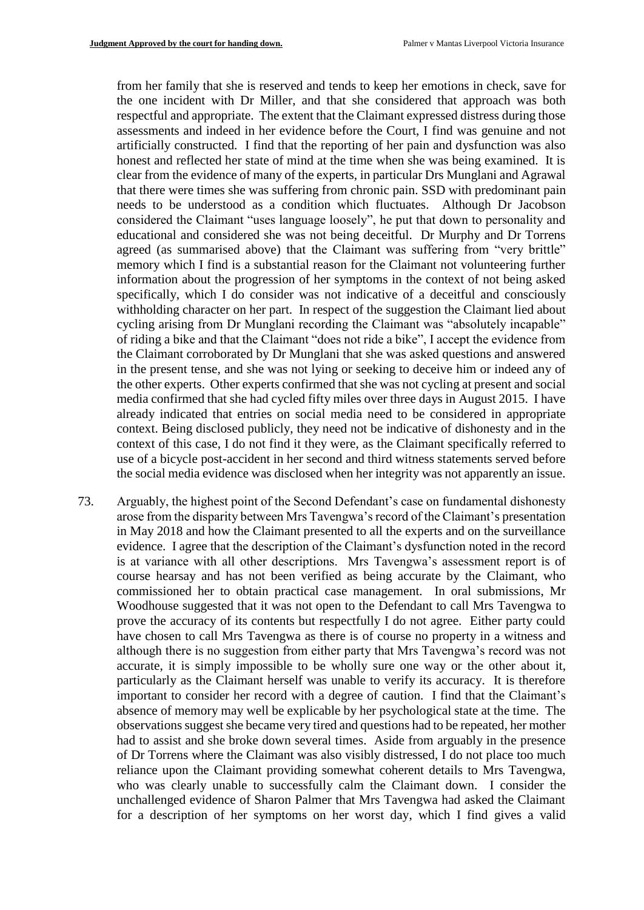from her family that she is reserved and tends to keep her emotions in check, save for the one incident with Dr Miller, and that she considered that approach was both respectful and appropriate. The extent that the Claimant expressed distress during those assessments and indeed in her evidence before the Court, I find was genuine and not artificially constructed. I find that the reporting of her pain and dysfunction was also honest and reflected her state of mind at the time when she was being examined. It is clear from the evidence of many of the experts, in particular Drs Munglani and Agrawal that there were times she was suffering from chronic pain. SSD with predominant pain needs to be understood as a condition which fluctuates. Although Dr Jacobson considered the Claimant "uses language loosely", he put that down to personality and educational and considered she was not being deceitful. Dr Murphy and Dr Torrens agreed (as summarised above) that the Claimant was suffering from "very brittle" memory which I find is a substantial reason for the Claimant not volunteering further information about the progression of her symptoms in the context of not being asked specifically, which I do consider was not indicative of a deceitful and consciously withholding character on her part. In respect of the suggestion the Claimant lied about cycling arising from Dr Munglani recording the Claimant was "absolutely incapable" of riding a bike and that the Claimant "does not ride a bike", I accept the evidence from the Claimant corroborated by Dr Munglani that she was asked questions and answered in the present tense, and she was not lying or seeking to deceive him or indeed any of the other experts. Other experts confirmed that she was not cycling at present and social media confirmed that she had cycled fifty miles over three days in August 2015. I have already indicated that entries on social media need to be considered in appropriate context. Being disclosed publicly, they need not be indicative of dishonesty and in the context of this case, I do not find it they were, as the Claimant specifically referred to use of a bicycle post-accident in her second and third witness statements served before the social media evidence was disclosed when her integrity was not apparently an issue.

73. Arguably, the highest point of the Second Defendant's case on fundamental dishonesty arose from the disparity between Mrs Tavengwa's record of the Claimant's presentation in May 2018 and how the Claimant presented to all the experts and on the surveillance evidence. I agree that the description of the Claimant's dysfunction noted in the record is at variance with all other descriptions. Mrs Tavengwa's assessment report is of course hearsay and has not been verified as being accurate by the Claimant, who commissioned her to obtain practical case management. In oral submissions, Mr Woodhouse suggested that it was not open to the Defendant to call Mrs Tavengwa to prove the accuracy of its contents but respectfully I do not agree. Either party could have chosen to call Mrs Tavengwa as there is of course no property in a witness and although there is no suggestion from either party that Mrs Tavengwa's record was not accurate, it is simply impossible to be wholly sure one way or the other about it, particularly as the Claimant herself was unable to verify its accuracy. It is therefore important to consider her record with a degree of caution. I find that the Claimant's absence of memory may well be explicable by her psychological state at the time. The observations suggest she became very tired and questions had to be repeated, her mother had to assist and she broke down several times. Aside from arguably in the presence of Dr Torrens where the Claimant was also visibly distressed, I do not place too much reliance upon the Claimant providing somewhat coherent details to Mrs Tavengwa, who was clearly unable to successfully calm the Claimant down. I consider the unchallenged evidence of Sharon Palmer that Mrs Tavengwa had asked the Claimant for a description of her symptoms on her worst day, which I find gives a valid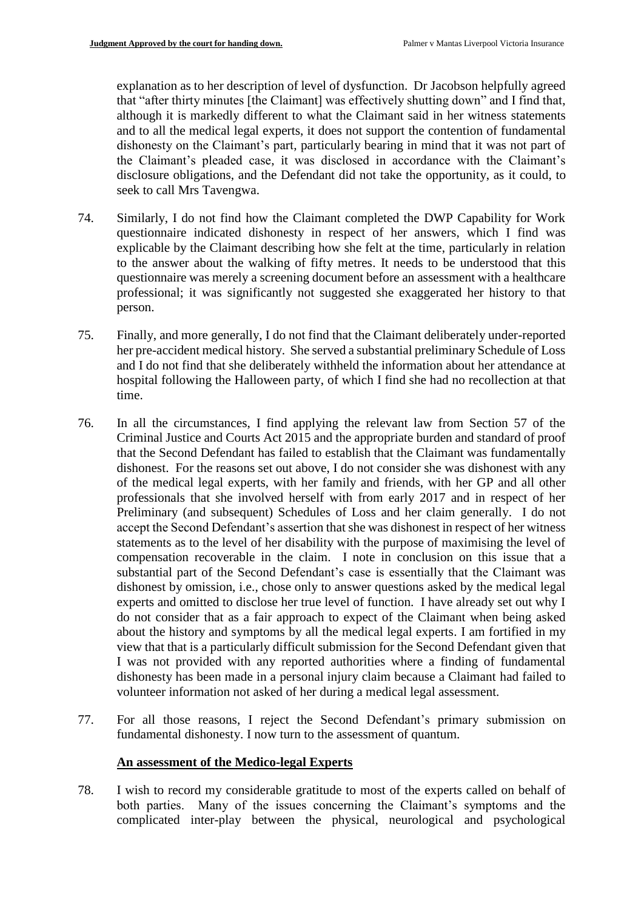explanation as to her description of level of dysfunction. Dr Jacobson helpfully agreed that "after thirty minutes [the Claimant] was effectively shutting down" and I find that, although it is markedly different to what the Claimant said in her witness statements and to all the medical legal experts, it does not support the contention of fundamental dishonesty on the Claimant's part, particularly bearing in mind that it was not part of the Claimant's pleaded case, it was disclosed in accordance with the Claimant's disclosure obligations, and the Defendant did not take the opportunity, as it could, to seek to call Mrs Tavengwa.

- 74. Similarly, I do not find how the Claimant completed the DWP Capability for Work questionnaire indicated dishonesty in respect of her answers, which I find was explicable by the Claimant describing how she felt at the time, particularly in relation to the answer about the walking of fifty metres. It needs to be understood that this questionnaire was merely a screening document before an assessment with a healthcare professional; it was significantly not suggested she exaggerated her history to that person.
- 75. Finally, and more generally, I do not find that the Claimant deliberately under-reported her pre-accident medical history. She served a substantial preliminary Schedule of Loss and I do not find that she deliberately withheld the information about her attendance at hospital following the Halloween party, of which I find she had no recollection at that time.
- 76. In all the circumstances, I find applying the relevant law from Section 57 of the Criminal Justice and Courts Act 2015 and the appropriate burden and standard of proof that the Second Defendant has failed to establish that the Claimant was fundamentally dishonest. For the reasons set out above, I do not consider she was dishonest with any of the medical legal experts, with her family and friends, with her GP and all other professionals that she involved herself with from early 2017 and in respect of her Preliminary (and subsequent) Schedules of Loss and her claim generally. I do not accept the Second Defendant's assertion that she was dishonest in respect of her witness statements as to the level of her disability with the purpose of maximising the level of compensation recoverable in the claim. I note in conclusion on this issue that a substantial part of the Second Defendant's case is essentially that the Claimant was dishonest by omission, i.e., chose only to answer questions asked by the medical legal experts and omitted to disclose her true level of function. I have already set out why I do not consider that as a fair approach to expect of the Claimant when being asked about the history and symptoms by all the medical legal experts. I am fortified in my view that that is a particularly difficult submission for the Second Defendant given that I was not provided with any reported authorities where a finding of fundamental dishonesty has been made in a personal injury claim because a Claimant had failed to volunteer information not asked of her during a medical legal assessment.
- 77. For all those reasons, I reject the Second Defendant's primary submission on fundamental dishonesty. I now turn to the assessment of quantum.

## **An assessment of the Medico-legal Experts**

78. I wish to record my considerable gratitude to most of the experts called on behalf of both parties. Many of the issues concerning the Claimant's symptoms and the complicated inter-play between the physical, neurological and psychological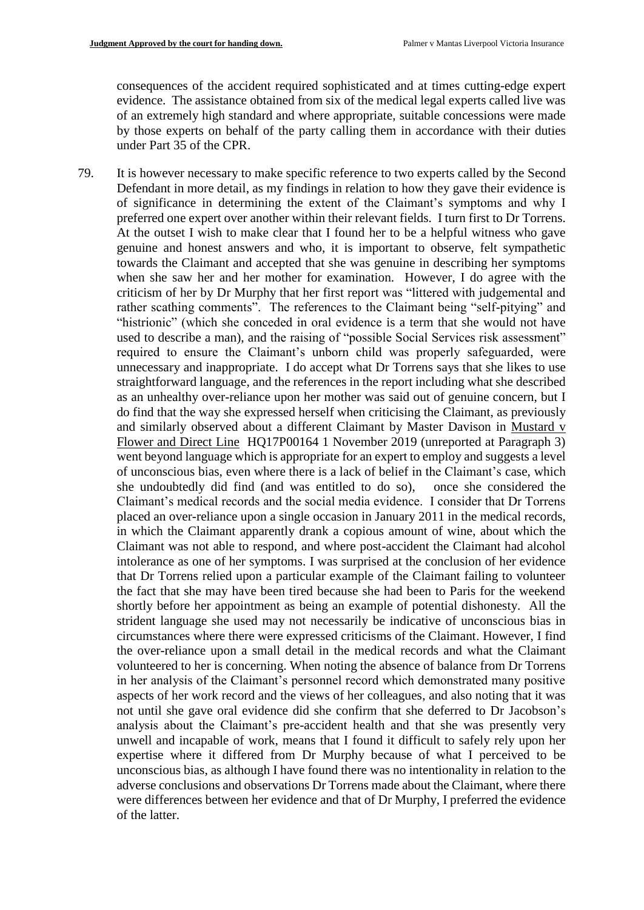consequences of the accident required sophisticated and at times cutting-edge expert evidence. The assistance obtained from six of the medical legal experts called live was of an extremely high standard and where appropriate, suitable concessions were made by those experts on behalf of the party calling them in accordance with their duties under Part 35 of the CPR.

79. It is however necessary to make specific reference to two experts called by the Second Defendant in more detail, as my findings in relation to how they gave their evidence is of significance in determining the extent of the Claimant's symptoms and why I preferred one expert over another within their relevant fields. I turn first to Dr Torrens. At the outset I wish to make clear that I found her to be a helpful witness who gave genuine and honest answers and who, it is important to observe, felt sympathetic towards the Claimant and accepted that she was genuine in describing her symptoms when she saw her and her mother for examination. However, I do agree with the criticism of her by Dr Murphy that her first report was "littered with judgemental and rather scathing comments". The references to the Claimant being "self-pitying" and "histrionic" (which she conceded in oral evidence is a term that she would not have used to describe a man), and the raising of "possible Social Services risk assessment" required to ensure the Claimant's unborn child was properly safeguarded, were unnecessary and inappropriate. I do accept what Dr Torrens says that she likes to use straightforward language, and the references in the report including what she described as an unhealthy over-reliance upon her mother was said out of genuine concern, but I do find that the way she expressed herself when criticising the Claimant, as previously and similarly observed about a different Claimant by Master Davison in Mustard v Flower and Direct Line HQ17P00164 1 November 2019 (unreported at Paragraph 3) went beyond language which is appropriate for an expert to employ and suggests a level of unconscious bias, even where there is a lack of belief in the Claimant's case, which she undoubtedly did find (and was entitled to do so), once she considered the Claimant's medical records and the social media evidence. I consider that Dr Torrens placed an over-reliance upon a single occasion in January 2011 in the medical records, in which the Claimant apparently drank a copious amount of wine, about which the Claimant was not able to respond, and where post-accident the Claimant had alcohol intolerance as one of her symptoms. I was surprised at the conclusion of her evidence that Dr Torrens relied upon a particular example of the Claimant failing to volunteer the fact that she may have been tired because she had been to Paris for the weekend shortly before her appointment as being an example of potential dishonesty. All the strident language she used may not necessarily be indicative of unconscious bias in circumstances where there were expressed criticisms of the Claimant. However, I find the over-reliance upon a small detail in the medical records and what the Claimant volunteered to her is concerning. When noting the absence of balance from Dr Torrens in her analysis of the Claimant's personnel record which demonstrated many positive aspects of her work record and the views of her colleagues, and also noting that it was not until she gave oral evidence did she confirm that she deferred to Dr Jacobson's analysis about the Claimant's pre-accident health and that she was presently very unwell and incapable of work, means that I found it difficult to safely rely upon her expertise where it differed from Dr Murphy because of what I perceived to be unconscious bias, as although I have found there was no intentionality in relation to the adverse conclusions and observations Dr Torrens made about the Claimant, where there were differences between her evidence and that of Dr Murphy, I preferred the evidence of the latter.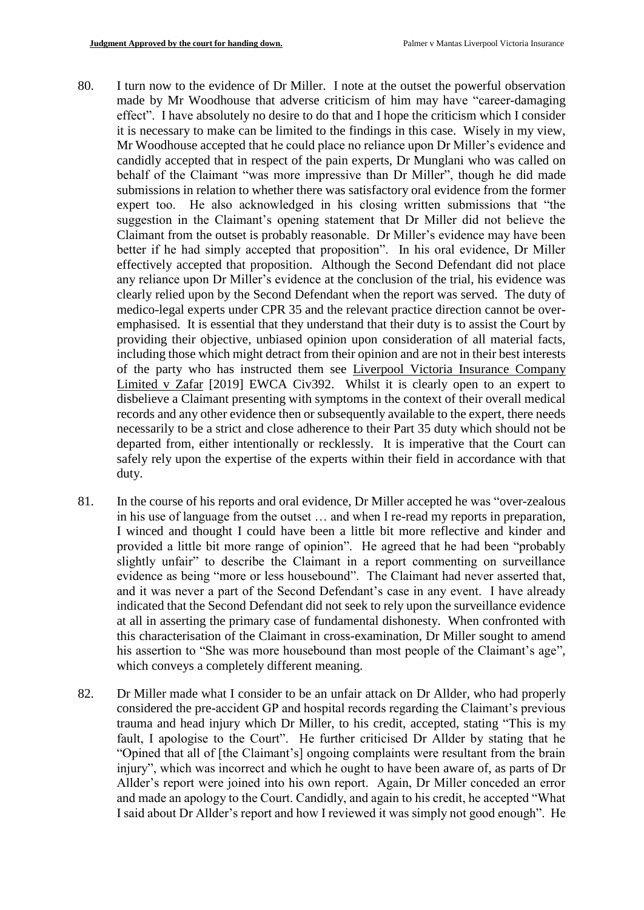- 80. I turn now to the evidence of Dr Miller. I note at the outset the powerful observation made by Mr Woodhouse that adverse criticism of him may have "career-damaging effect". I have absolutely no desire to do that and I hope the criticism which I consider it is necessary to make can be limited to the findings in this case. Wisely in my view, Mr Woodhouse accepted that he could place no reliance upon Dr Miller's evidence and candidly accepted that in respect of the pain experts, Dr Munglani who was called on behalf of the Claimant "was more impressive than Dr Miller", though he did made submissions in relation to whether there was satisfactory oral evidence from the former expert too. He also acknowledged in his closing written submissions that "the suggestion in the Claimant's opening statement that Dr Miller did not believe the Claimant from the outset is probably reasonable. Dr Miller's evidence may have been better if he had simply accepted that proposition". In his oral evidence, Dr Miller effectively accepted that proposition. Although the Second Defendant did not place any reliance upon Dr Miller's evidence at the conclusion of the trial, his evidence was clearly relied upon by the Second Defendant when the report was served. The duty of medico-legal experts under CPR 35 and the relevant practice direction cannot be overemphasised. It is essential that they understand that their duty is to assist the Court by providing their objective, unbiased opinion upon consideration of all material facts, including those which might detract from their opinion and are not in their best interests of the party who has instructed them see Liverpool Victoria Insurance Company Limited v Zafar [2019] EWCA Civ392. Whilst it is clearly open to an expert to disbelieve a Claimant presenting with symptoms in the context of their overall medical records and any other evidence then or subsequently available to the expert, there needs necessarily to be a strict and close adherence to their Part 35 duty which should not be departed from, either intentionally or recklessly. It is imperative that the Court can safely rely upon the expertise of the experts within their field in accordance with that duty.
- 81. In the course of his reports and oral evidence, Dr Miller accepted he was "over-zealous in his use of language from the outset … and when I re-read my reports in preparation, I winced and thought I could have been a little bit more reflective and kinder and provided a little bit more range of opinion". He agreed that he had been "probably slightly unfair" to describe the Claimant in a report commenting on surveillance evidence as being "more or less housebound". The Claimant had never asserted that, and it was never a part of the Second Defendant's case in any event. I have already indicated that the Second Defendant did not seek to rely upon the surveillance evidence at all in asserting the primary case of fundamental dishonesty. When confronted with this characterisation of the Claimant in cross-examination, Dr Miller sought to amend his assertion to "She was more housebound than most people of the Claimant's age", which conveys a completely different meaning.
- 82. Dr Miller made what I consider to be an unfair attack on Dr Allder, who had properly considered the pre-accident GP and hospital records regarding the Claimant's previous trauma and head injury which Dr Miller, to his credit, accepted, stating "This is my fault, I apologise to the Court". He further criticised Dr Allder by stating that he "Opined that all of [the Claimant's] ongoing complaints were resultant from the brain injury", which was incorrect and which he ought to have been aware of, as parts of Dr Allder's report were joined into his own report. Again, Dr Miller conceded an error and made an apology to the Court. Candidly, and again to his credit, he accepted "What I said about Dr Allder's report and how I reviewed it was simply not good enough". He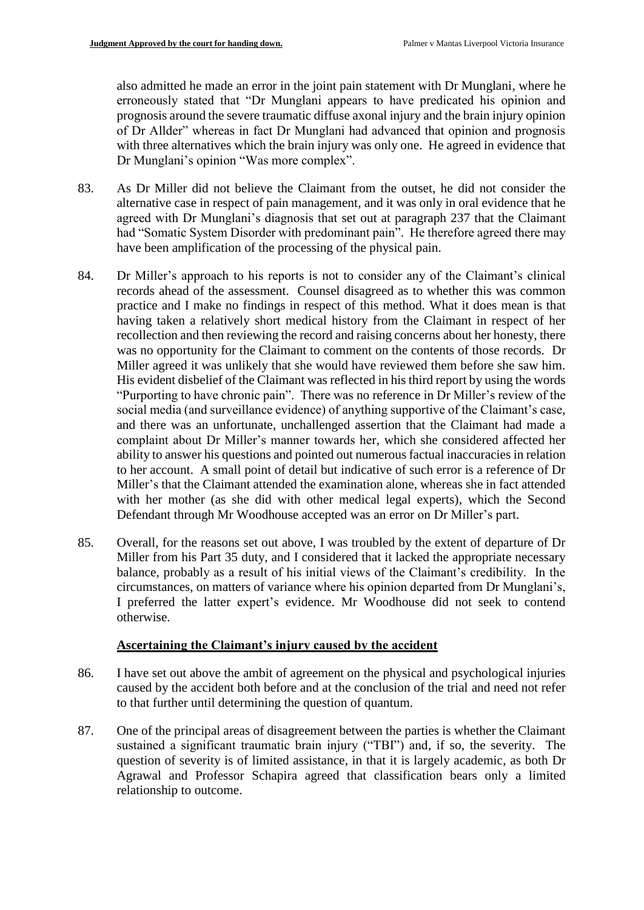also admitted he made an error in the joint pain statement with Dr Munglani, where he erroneously stated that "Dr Munglani appears to have predicated his opinion and prognosis around the severe traumatic diffuse axonal injury and the brain injury opinion of Dr Allder" whereas in fact Dr Munglani had advanced that opinion and prognosis with three alternatives which the brain injury was only one. He agreed in evidence that Dr Munglani's opinion "Was more complex".

- 83. As Dr Miller did not believe the Claimant from the outset, he did not consider the alternative case in respect of pain management, and it was only in oral evidence that he agreed with Dr Munglani's diagnosis that set out at paragraph 237 that the Claimant had "Somatic System Disorder with predominant pain". He therefore agreed there may have been amplification of the processing of the physical pain.
- 84. Dr Miller's approach to his reports is not to consider any of the Claimant's clinical records ahead of the assessment. Counsel disagreed as to whether this was common practice and I make no findings in respect of this method. What it does mean is that having taken a relatively short medical history from the Claimant in respect of her recollection and then reviewing the record and raising concerns about her honesty, there was no opportunity for the Claimant to comment on the contents of those records. Dr Miller agreed it was unlikely that she would have reviewed them before she saw him. His evident disbelief of the Claimant was reflected in his third report by using the words "Purporting to have chronic pain". There was no reference in Dr Miller's review of the social media (and surveillance evidence) of anything supportive of the Claimant's case, and there was an unfortunate, unchallenged assertion that the Claimant had made a complaint about Dr Miller's manner towards her, which she considered affected her ability to answer his questions and pointed out numerous factual inaccuracies in relation to her account. A small point of detail but indicative of such error is a reference of Dr Miller's that the Claimant attended the examination alone, whereas she in fact attended with her mother (as she did with other medical legal experts), which the Second Defendant through Mr Woodhouse accepted was an error on Dr Miller's part.
- 85. Overall, for the reasons set out above, I was troubled by the extent of departure of Dr Miller from his Part 35 duty, and I considered that it lacked the appropriate necessary balance, probably as a result of his initial views of the Claimant's credibility. In the circumstances, on matters of variance where his opinion departed from Dr Munglani's, I preferred the latter expert's evidence. Mr Woodhouse did not seek to contend otherwise.

## **Ascertaining the Claimant's injury caused by the accident**

- 86. I have set out above the ambit of agreement on the physical and psychological injuries caused by the accident both before and at the conclusion of the trial and need not refer to that further until determining the question of quantum.
- 87. One of the principal areas of disagreement between the parties is whether the Claimant sustained a significant traumatic brain injury ("TBI") and, if so, the severity. The question of severity is of limited assistance, in that it is largely academic, as both Dr Agrawal and Professor Schapira agreed that classification bears only a limited relationship to outcome.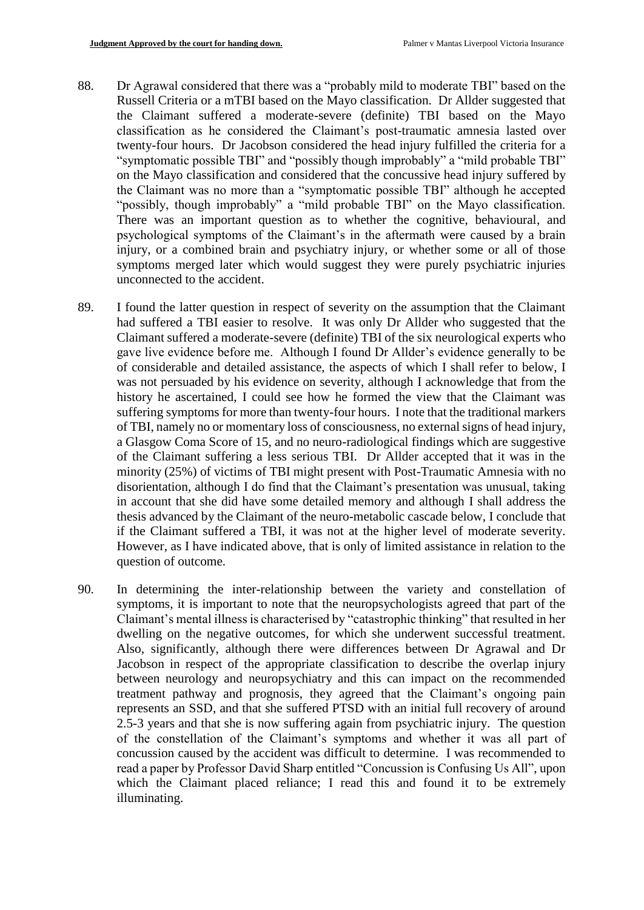- 88. Dr Agrawal considered that there was a "probably mild to moderate TBI" based on the Russell Criteria or a mTBI based on the Mayo classification. Dr Allder suggested that the Claimant suffered a moderate-severe (definite) TBI based on the Mayo classification as he considered the Claimant's post-traumatic amnesia lasted over twenty-four hours. Dr Jacobson considered the head injury fulfilled the criteria for a "symptomatic possible TBI" and "possibly though improbably" a "mild probable TBI" on the Mayo classification and considered that the concussive head injury suffered by the Claimant was no more than a "symptomatic possible TBI" although he accepted "possibly, though improbably" a "mild probable TBI" on the Mayo classification. There was an important question as to whether the cognitive, behavioural, and psychological symptoms of the Claimant's in the aftermath were caused by a brain injury, or a combined brain and psychiatry injury, or whether some or all of those symptoms merged later which would suggest they were purely psychiatric injuries unconnected to the accident.
- 89. I found the latter question in respect of severity on the assumption that the Claimant had suffered a TBI easier to resolve. It was only Dr Allder who suggested that the Claimant suffered a moderate-severe (definite) TBI of the six neurological experts who gave live evidence before me. Although I found Dr Allder's evidence generally to be of considerable and detailed assistance, the aspects of which I shall refer to below, I was not persuaded by his evidence on severity, although I acknowledge that from the history he ascertained, I could see how he formed the view that the Claimant was suffering symptoms for more than twenty-four hours. I note that the traditional markers of TBI, namely no or momentary loss of consciousness, no external signs of head injury, a Glasgow Coma Score of 15, and no neuro-radiological findings which are suggestive of the Claimant suffering a less serious TBI. Dr Allder accepted that it was in the minority (25%) of victims of TBI might present with Post-Traumatic Amnesia with no disorientation, although I do find that the Claimant's presentation was unusual, taking in account that she did have some detailed memory and although I shall address the thesis advanced by the Claimant of the neuro-metabolic cascade below, I conclude that if the Claimant suffered a TBI, it was not at the higher level of moderate severity. However, as I have indicated above, that is only of limited assistance in relation to the question of outcome.
- 90. In determining the inter-relationship between the variety and constellation of symptoms, it is important to note that the neuropsychologists agreed that part of the Claimant's mental illness is characterised by "catastrophic thinking" that resulted in her dwelling on the negative outcomes, for which she underwent successful treatment. Also, significantly, although there were differences between Dr Agrawal and Dr Jacobson in respect of the appropriate classification to describe the overlap injury between neurology and neuropsychiatry and this can impact on the recommended treatment pathway and prognosis, they agreed that the Claimant's ongoing pain represents an SSD, and that she suffered PTSD with an initial full recovery of around 2.5-3 years and that she is now suffering again from psychiatric injury. The question of the constellation of the Claimant's symptoms and whether it was all part of concussion caused by the accident was difficult to determine. I was recommended to read a paper by Professor David Sharp entitled "Concussion is Confusing Us All", upon which the Claimant placed reliance; I read this and found it to be extremely illuminating.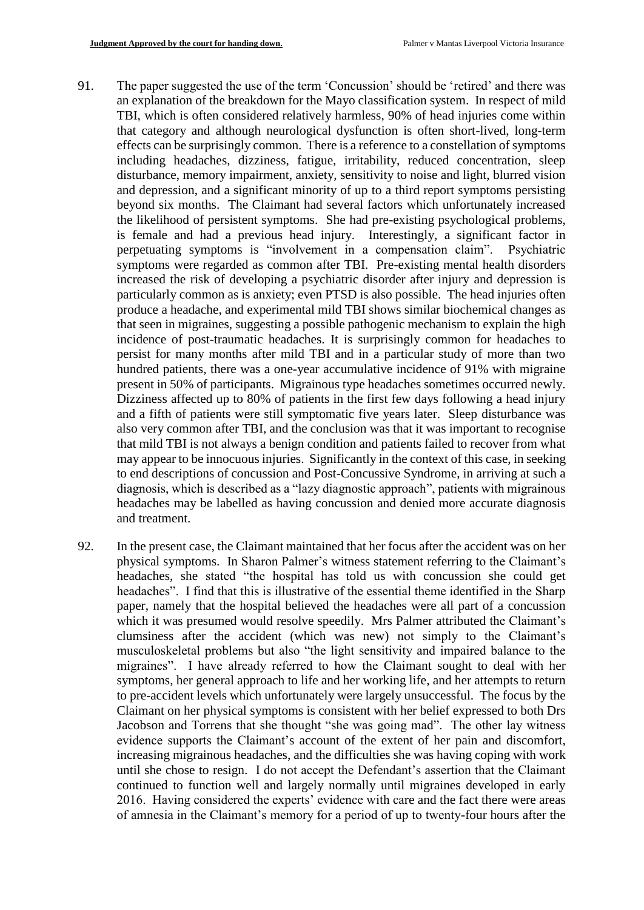- 91. The paper suggested the use of the term 'Concussion' should be 'retired' and there was an explanation of the breakdown for the Mayo classification system. In respect of mild TBI, which is often considered relatively harmless, 90% of head injuries come within that category and although neurological dysfunction is often short-lived, long-term effects can be surprisingly common. There is a reference to a constellation of symptoms including headaches, dizziness, fatigue, irritability, reduced concentration, sleep disturbance, memory impairment, anxiety, sensitivity to noise and light, blurred vision and depression, and a significant minority of up to a third report symptoms persisting beyond six months. The Claimant had several factors which unfortunately increased the likelihood of persistent symptoms. She had pre-existing psychological problems, is female and had a previous head injury. Interestingly, a significant factor in perpetuating symptoms is "involvement in a compensation claim". Psychiatric symptoms were regarded as common after TBI. Pre-existing mental health disorders increased the risk of developing a psychiatric disorder after injury and depression is particularly common as is anxiety; even PTSD is also possible. The head injuries often produce a headache, and experimental mild TBI shows similar biochemical changes as that seen in migraines, suggesting a possible pathogenic mechanism to explain the high incidence of post-traumatic headaches. It is surprisingly common for headaches to persist for many months after mild TBI and in a particular study of more than two hundred patients, there was a one-year accumulative incidence of 91% with migraine present in 50% of participants. Migrainous type headaches sometimes occurred newly. Dizziness affected up to 80% of patients in the first few days following a head injury and a fifth of patients were still symptomatic five years later. Sleep disturbance was also very common after TBI, and the conclusion was that it was important to recognise that mild TBI is not always a benign condition and patients failed to recover from what may appear to be innocuous injuries. Significantly in the context of this case, in seeking to end descriptions of concussion and Post-Concussive Syndrome, in arriving at such a diagnosis, which is described as a "lazy diagnostic approach", patients with migrainous headaches may be labelled as having concussion and denied more accurate diagnosis and treatment.
- 92. In the present case, the Claimant maintained that her focus after the accident was on her physical symptoms. In Sharon Palmer's witness statement referring to the Claimant's headaches, she stated "the hospital has told us with concussion she could get headaches". I find that this is illustrative of the essential theme identified in the Sharp paper, namely that the hospital believed the headaches were all part of a concussion which it was presumed would resolve speedily. Mrs Palmer attributed the Claimant's clumsiness after the accident (which was new) not simply to the Claimant's musculoskeletal problems but also "the light sensitivity and impaired balance to the migraines". I have already referred to how the Claimant sought to deal with her symptoms, her general approach to life and her working life, and her attempts to return to pre-accident levels which unfortunately were largely unsuccessful. The focus by the Claimant on her physical symptoms is consistent with her belief expressed to both Drs Jacobson and Torrens that she thought "she was going mad". The other lay witness evidence supports the Claimant's account of the extent of her pain and discomfort, increasing migrainous headaches, and the difficulties she was having coping with work until she chose to resign. I do not accept the Defendant's assertion that the Claimant continued to function well and largely normally until migraines developed in early 2016. Having considered the experts' evidence with care and the fact there were areas of amnesia in the Claimant's memory for a period of up to twenty-four hours after the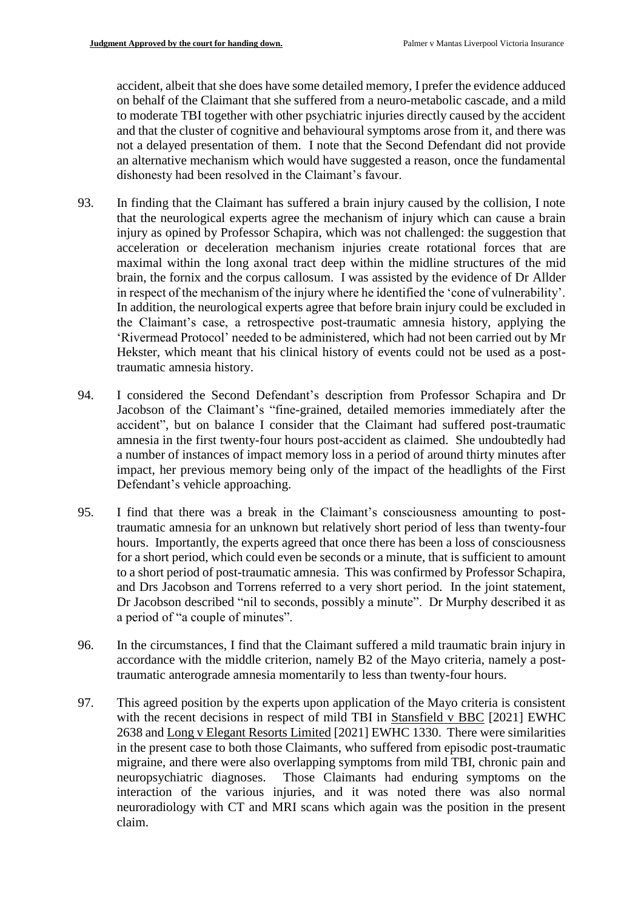accident, albeit that she does have some detailed memory, I prefer the evidence adduced on behalf of the Claimant that she suffered from a neuro-metabolic cascade, and a mild to moderate TBI together with other psychiatric injuries directly caused by the accident and that the cluster of cognitive and behavioural symptoms arose from it, and there was not a delayed presentation of them. I note that the Second Defendant did not provide an alternative mechanism which would have suggested a reason, once the fundamental dishonesty had been resolved in the Claimant's favour.

- 93. In finding that the Claimant has suffered a brain injury caused by the collision, I note that the neurological experts agree the mechanism of injury which can cause a brain injury as opined by Professor Schapira, which was not challenged: the suggestion that acceleration or deceleration mechanism injuries create rotational forces that are maximal within the long axonal tract deep within the midline structures of the mid brain, the fornix and the corpus callosum. I was assisted by the evidence of Dr Allder in respect of the mechanism of the injury where he identified the 'cone of vulnerability'. In addition, the neurological experts agree that before brain injury could be excluded in the Claimant's case, a retrospective post-traumatic amnesia history, applying the 'Rivermead Protocol' needed to be administered, which had not been carried out by Mr Hekster, which meant that his clinical history of events could not be used as a posttraumatic amnesia history.
- 94. I considered the Second Defendant's description from Professor Schapira and Dr Jacobson of the Claimant's "fine-grained, detailed memories immediately after the accident", but on balance I consider that the Claimant had suffered post-traumatic amnesia in the first twenty-four hours post-accident as claimed. She undoubtedly had a number of instances of impact memory loss in a period of around thirty minutes after impact, her previous memory being only of the impact of the headlights of the First Defendant's vehicle approaching.
- 95. I find that there was a break in the Claimant's consciousness amounting to posttraumatic amnesia for an unknown but relatively short period of less than twenty-four hours. Importantly, the experts agreed that once there has been a loss of consciousness for a short period, which could even be seconds or a minute, that is sufficient to amount to a short period of post-traumatic amnesia. This was confirmed by Professor Schapira, and Drs Jacobson and Torrens referred to a very short period. In the joint statement, Dr Jacobson described "nil to seconds, possibly a minute". Dr Murphy described it as a period of "a couple of minutes".
- 96. In the circumstances, I find that the Claimant suffered a mild traumatic brain injury in accordance with the middle criterion, namely B2 of the Mayo criteria, namely a posttraumatic anterograde amnesia momentarily to less than twenty-four hours.
- 97. This agreed position by the experts upon application of the Mayo criteria is consistent with the recent decisions in respect of mild TBI in Stansfield v BBC [2021] EWHC 2638 and Long v Elegant Resorts Limited [2021] EWHC 1330. There were similarities in the present case to both those Claimants, who suffered from episodic post-traumatic migraine, and there were also overlapping symptoms from mild TBI, chronic pain and neuropsychiatric diagnoses. Those Claimants had enduring symptoms on the interaction of the various injuries, and it was noted there was also normal neuroradiology with CT and MRI scans which again was the position in the present claim.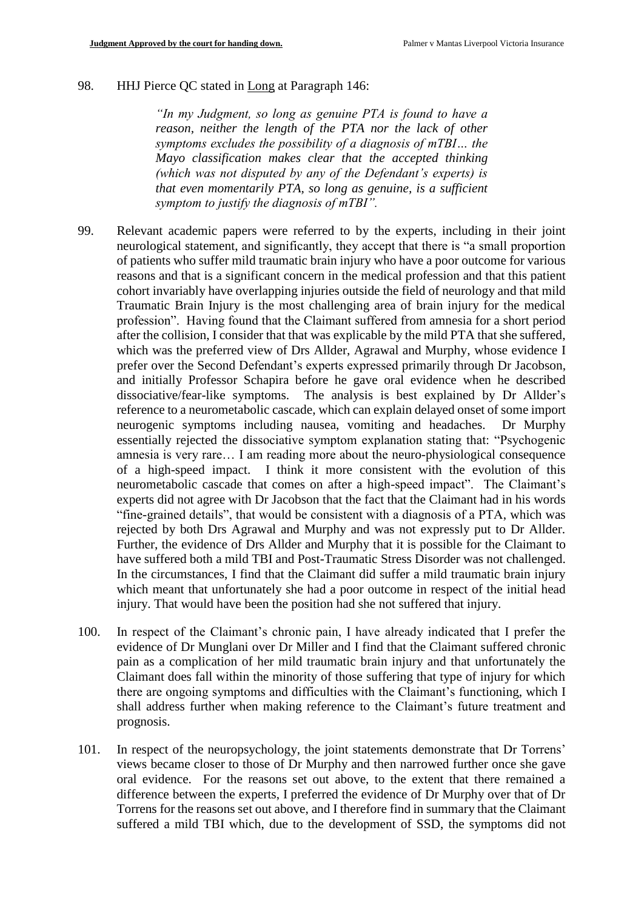#### 98. HHJ Pierce QC stated in Long at Paragraph 146:

*"In my Judgment, so long as genuine PTA is found to have a reason, neither the length of the PTA nor the lack of other symptoms excludes the possibility of a diagnosis of mTBI… the Mayo classification makes clear that the accepted thinking (which was not disputed by any of the Defendant's experts) is that even momentarily PTA, so long as genuine, is a sufficient symptom to justify the diagnosis of mTBI".*

- 99. Relevant academic papers were referred to by the experts, including in their joint neurological statement, and significantly, they accept that there is "a small proportion of patients who suffer mild traumatic brain injury who have a poor outcome for various reasons and that is a significant concern in the medical profession and that this patient cohort invariably have overlapping injuries outside the field of neurology and that mild Traumatic Brain Injury is the most challenging area of brain injury for the medical profession". Having found that the Claimant suffered from amnesia for a short period after the collision, I consider that that was explicable by the mild PTA that she suffered, which was the preferred view of Drs Allder, Agrawal and Murphy, whose evidence I prefer over the Second Defendant's experts expressed primarily through Dr Jacobson, and initially Professor Schapira before he gave oral evidence when he described dissociative/fear-like symptoms. The analysis is best explained by Dr Allder's reference to a neurometabolic cascade, which can explain delayed onset of some import neurogenic symptoms including nausea, vomiting and headaches. Dr Murphy essentially rejected the dissociative symptom explanation stating that: "Psychogenic amnesia is very rare… I am reading more about the neuro-physiological consequence of a high-speed impact. I think it more consistent with the evolution of this neurometabolic cascade that comes on after a high-speed impact". The Claimant's experts did not agree with Dr Jacobson that the fact that the Claimant had in his words "fine-grained details", that would be consistent with a diagnosis of a PTA, which was rejected by both Drs Agrawal and Murphy and was not expressly put to Dr Allder. Further, the evidence of Drs Allder and Murphy that it is possible for the Claimant to have suffered both a mild TBI and Post-Traumatic Stress Disorder was not challenged. In the circumstances, I find that the Claimant did suffer a mild traumatic brain injury which meant that unfortunately she had a poor outcome in respect of the initial head injury. That would have been the position had she not suffered that injury.
- 100. In respect of the Claimant's chronic pain, I have already indicated that I prefer the evidence of Dr Munglani over Dr Miller and I find that the Claimant suffered chronic pain as a complication of her mild traumatic brain injury and that unfortunately the Claimant does fall within the minority of those suffering that type of injury for which there are ongoing symptoms and difficulties with the Claimant's functioning, which I shall address further when making reference to the Claimant's future treatment and prognosis.
- 101. In respect of the neuropsychology, the joint statements demonstrate that Dr Torrens' views became closer to those of Dr Murphy and then narrowed further once she gave oral evidence. For the reasons set out above, to the extent that there remained a difference between the experts, I preferred the evidence of Dr Murphy over that of Dr Torrens for the reasons set out above, and I therefore find in summary that the Claimant suffered a mild TBI which, due to the development of SSD, the symptoms did not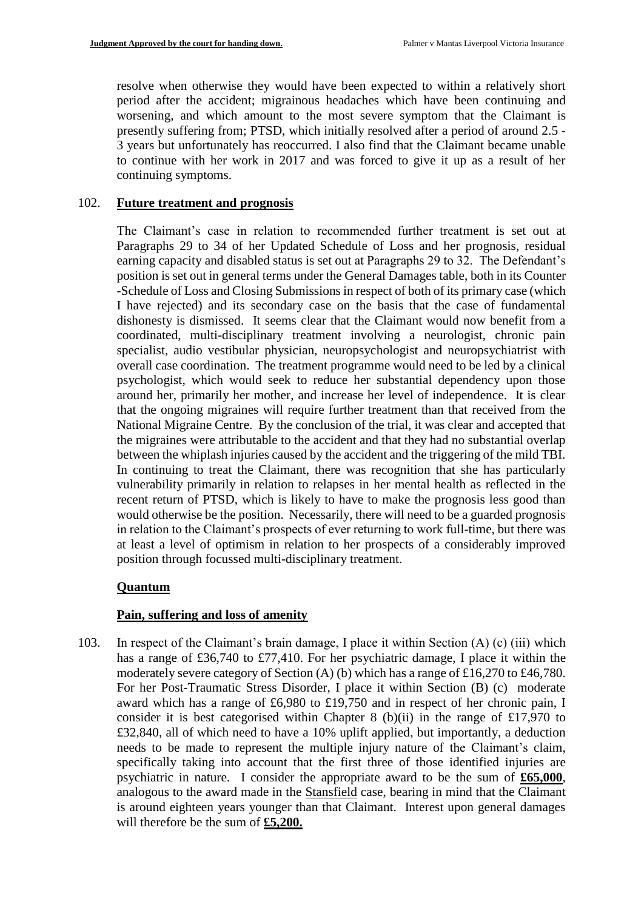resolve when otherwise they would have been expected to within a relatively short period after the accident; migrainous headaches which have been continuing and worsening, and which amount to the most severe symptom that the Claimant is presently suffering from; PTSD, which initially resolved after a period of around 2.5 - 3 years but unfortunately has reoccurred. I also find that the Claimant became unable to continue with her work in 2017 and was forced to give it up as a result of her continuing symptoms.

## 102. **Future treatment and prognosis**

The Claimant's case in relation to recommended further treatment is set out at Paragraphs 29 to 34 of her Updated Schedule of Loss and her prognosis, residual earning capacity and disabled status is set out at Paragraphs 29 to 32. The Defendant's position is set out in general terms under the General Damages table, both in its Counter -Schedule of Loss and Closing Submissions in respect of both of its primary case (which I have rejected) and its secondary case on the basis that the case of fundamental dishonesty is dismissed. It seems clear that the Claimant would now benefit from a coordinated, multi-disciplinary treatment involving a neurologist, chronic pain specialist, audio vestibular physician, neuropsychologist and neuropsychiatrist with overall case coordination. The treatment programme would need to be led by a clinical psychologist, which would seek to reduce her substantial dependency upon those around her, primarily her mother, and increase her level of independence. It is clear that the ongoing migraines will require further treatment than that received from the National Migraine Centre. By the conclusion of the trial, it was clear and accepted that the migraines were attributable to the accident and that they had no substantial overlap between the whiplash injuries caused by the accident and the triggering of the mild TBI. In continuing to treat the Claimant, there was recognition that she has particularly vulnerability primarily in relation to relapses in her mental health as reflected in the recent return of PTSD, which is likely to have to make the prognosis less good than would otherwise be the position. Necessarily, there will need to be a guarded prognosis in relation to the Claimant's prospects of ever returning to work full-time, but there was at least a level of optimism in relation to her prospects of a considerably improved position through focussed multi-disciplinary treatment.

## **Quantum**

## **Pain, suffering and loss of amenity**

103. In respect of the Claimant's brain damage, I place it within Section (A) (c) (iii) which has a range of £36,740 to £77,410. For her psychiatric damage, I place it within the moderately severe category of Section (A) (b) which has a range of £16,270 to £46,780. For her Post-Traumatic Stress Disorder, I place it within Section (B) (c) moderate award which has a range of £6,980 to £19,750 and in respect of her chronic pain, I consider it is best categorised within Chapter 8 (b)(ii) in the range of £17,970 to £32,840, all of which need to have a 10% uplift applied, but importantly, a deduction needs to be made to represent the multiple injury nature of the Claimant's claim, specifically taking into account that the first three of those identified injuries are psychiatric in nature. I consider the appropriate award to be the sum of **£65,000**, analogous to the award made in the Stansfield case, bearing in mind that the Claimant is around eighteen years younger than that Claimant. Interest upon general damages will therefore be the sum of **£5,200.**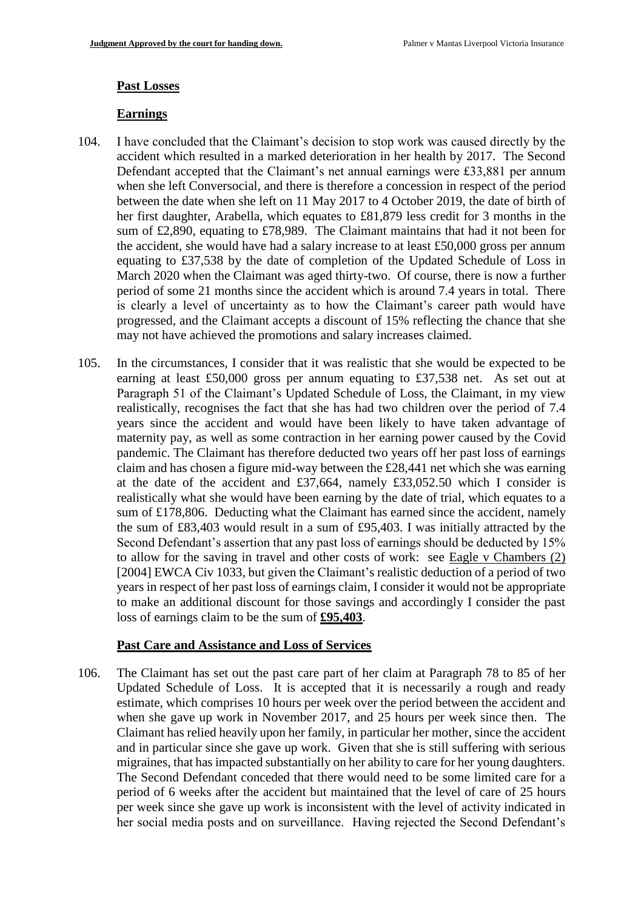#### **Past Losses**

#### **Earnings**

- 104. I have concluded that the Claimant's decision to stop work was caused directly by the accident which resulted in a marked deterioration in her health by 2017. The Second Defendant accepted that the Claimant's net annual earnings were £33,881 per annum when she left Conversocial, and there is therefore a concession in respect of the period between the date when she left on 11 May 2017 to 4 October 2019, the date of birth of her first daughter, Arabella, which equates to £81,879 less credit for 3 months in the sum of £2,890, equating to £78,989. The Claimant maintains that had it not been for the accident, she would have had a salary increase to at least £50,000 gross per annum equating to £37,538 by the date of completion of the Updated Schedule of Loss in March 2020 when the Claimant was aged thirty-two. Of course, there is now a further period of some 21 months since the accident which is around 7.4 years in total. There is clearly a level of uncertainty as to how the Claimant's career path would have progressed, and the Claimant accepts a discount of 15% reflecting the chance that she may not have achieved the promotions and salary increases claimed.
- 105. In the circumstances, I consider that it was realistic that she would be expected to be earning at least £50,000 gross per annum equating to £37,538 net. As set out at Paragraph 51 of the Claimant's Updated Schedule of Loss, the Claimant, in my view realistically, recognises the fact that she has had two children over the period of 7.4 years since the accident and would have been likely to have taken advantage of maternity pay, as well as some contraction in her earning power caused by the Covid pandemic. The Claimant has therefore deducted two years off her past loss of earnings claim and has chosen a figure mid-way between the £28,441 net which she was earning at the date of the accident and £37,664, namely £33,052.50 which I consider is realistically what she would have been earning by the date of trial, which equates to a sum of £178,806. Deducting what the Claimant has earned since the accident, namely the sum of £83,403 would result in a sum of £95,403. I was initially attracted by the Second Defendant's assertion that any past loss of earnings should be deducted by 15% to allow for the saving in travel and other costs of work: see Eagle v Chambers (2) [2004] EWCA Civ 1033, but given the Claimant's realistic deduction of a period of two years in respect of her past loss of earnings claim, I consider it would not be appropriate to make an additional discount for those savings and accordingly I consider the past loss of earnings claim to be the sum of **£95,403**.

## **Past Care and Assistance and Loss of Services**

106. The Claimant has set out the past care part of her claim at Paragraph 78 to 85 of her Updated Schedule of Loss. It is accepted that it is necessarily a rough and ready estimate, which comprises 10 hours per week over the period between the accident and when she gave up work in November 2017, and 25 hours per week since then. The Claimant has relied heavily upon her family, in particular her mother, since the accident and in particular since she gave up work. Given that she is still suffering with serious migraines, that has impacted substantially on her ability to care for her young daughters. The Second Defendant conceded that there would need to be some limited care for a period of 6 weeks after the accident but maintained that the level of care of 25 hours per week since she gave up work is inconsistent with the level of activity indicated in her social media posts and on surveillance. Having rejected the Second Defendant's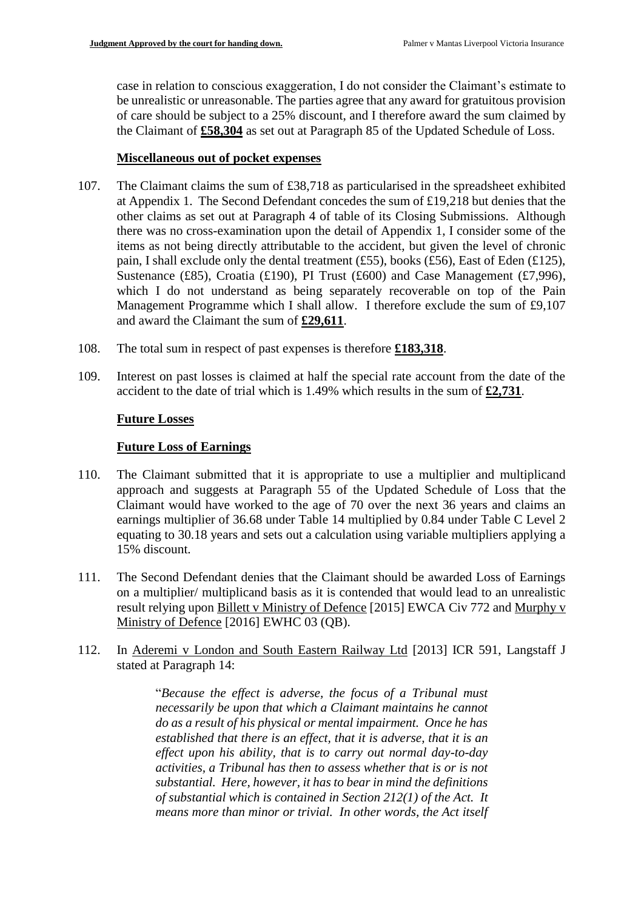case in relation to conscious exaggeration, I do not consider the Claimant's estimate to be unrealistic or unreasonable. The parties agree that any award for gratuitous provision of care should be subject to a 25% discount, and I therefore award the sum claimed by the Claimant of **£58,304** as set out at Paragraph 85 of the Updated Schedule of Loss.

#### **Miscellaneous out of pocket expenses**

- 107. The Claimant claims the sum of £38,718 as particularised in the spreadsheet exhibited at Appendix 1. The Second Defendant concedes the sum of £19,218 but denies that the other claims as set out at Paragraph 4 of table of its Closing Submissions. Although there was no cross-examination upon the detail of Appendix 1, I consider some of the items as not being directly attributable to the accident, but given the level of chronic pain, I shall exclude only the dental treatment (£55), books (£56), East of Eden (£125), Sustenance (£85), Croatia (£190), PI Trust (£600) and Case Management (£7,996), which I do not understand as being separately recoverable on top of the Pain Management Programme which I shall allow. I therefore exclude the sum of £9,107 and award the Claimant the sum of **£29,611**.
- 108. The total sum in respect of past expenses is therefore **£183,318**.
- 109. Interest on past losses is claimed at half the special rate account from the date of the accident to the date of trial which is 1.49% which results in the sum of **£2,731**.

## **Future Losses**

## **Future Loss of Earnings**

- 110. The Claimant submitted that it is appropriate to use a multiplier and multiplicand approach and suggests at Paragraph 55 of the Updated Schedule of Loss that the Claimant would have worked to the age of 70 over the next 36 years and claims an earnings multiplier of 36.68 under Table 14 multiplied by 0.84 under Table C Level 2 equating to 30.18 years and sets out a calculation using variable multipliers applying a 15% discount.
- 111. The Second Defendant denies that the Claimant should be awarded Loss of Earnings on a multiplier/ multiplicand basis as it is contended that would lead to an unrealistic result relying upon Billett v Ministry of Defence [2015] EWCA Civ 772 and Murphy v Ministry of Defence [2016] EWHC 03 (QB).
- 112. In Aderemi v London and South Eastern Railway Ltd [2013] ICR 591, Langstaff J stated at Paragraph 14:

"*Because the effect is adverse, the focus of a Tribunal must necessarily be upon that which a Claimant maintains he cannot do as a result of his physical or mental impairment. Once he has established that there is an effect, that it is adverse, that it is an effect upon his ability, that is to carry out normal day-to-day activities, a Tribunal has then to assess whether that is or is not substantial. Here, however, it has to bear in mind the definitions of substantial which is contained in Section 212(1) of the Act. It means more than minor or trivial. In other words, the Act itself*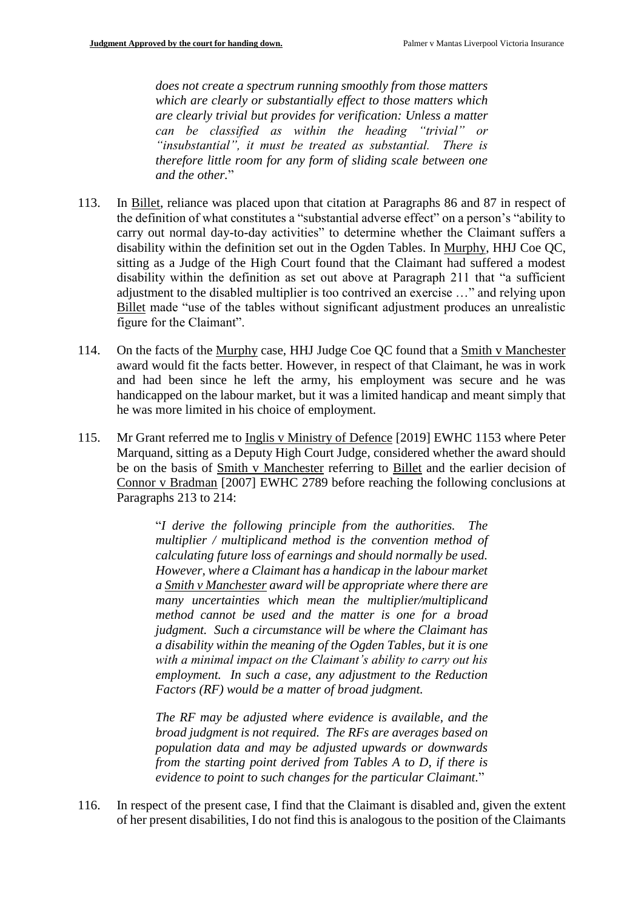*does not create a spectrum running smoothly from those matters which are clearly or substantially effect to those matters which are clearly trivial but provides for verification: Unless a matter can be classified as within the heading "trivial" or "insubstantial", it must be treated as substantial. There is therefore little room for any form of sliding scale between one and the other.*"

- 113. In Billet, reliance was placed upon that citation at Paragraphs 86 and 87 in respect of the definition of what constitutes a "substantial adverse effect" on a person's "ability to carry out normal day-to-day activities" to determine whether the Claimant suffers a disability within the definition set out in the Ogden Tables. In Murphy, HHJ Coe QC, sitting as a Judge of the High Court found that the Claimant had suffered a modest disability within the definition as set out above at Paragraph 211 that "a sufficient adjustment to the disabled multiplier is too contrived an exercise …" and relying upon Billet made "use of the tables without significant adjustment produces an unrealistic figure for the Claimant".
- 114. On the facts of the Murphy case, HHJ Judge Coe QC found that a Smith v Manchester award would fit the facts better. However, in respect of that Claimant, he was in work and had been since he left the army, his employment was secure and he was handicapped on the labour market, but it was a limited handicap and meant simply that he was more limited in his choice of employment.
- 115. Mr Grant referred me to Inglis v Ministry of Defence [2019] EWHC 1153 where Peter Marquand, sitting as a Deputy High Court Judge, considered whether the award should be on the basis of Smith v Manchester referring to Billet and the earlier decision of Connor v Bradman [2007] EWHC 2789 before reaching the following conclusions at Paragraphs 213 to 214:

"*I derive the following principle from the authorities. The multiplier / multiplicand method is the convention method of calculating future loss of earnings and should normally be used. However, where a Claimant has a handicap in the labour market a Smith v Manchester award will be appropriate where there are many uncertainties which mean the multiplier/multiplicand method cannot be used and the matter is one for a broad judgment. Such a circumstance will be where the Claimant has a disability within the meaning of the Ogden Tables, but it is one with a minimal impact on the Claimant's ability to carry out his employment. In such a case, any adjustment to the Reduction Factors (RF) would be a matter of broad judgment.*

*The RF may be adjusted where evidence is available, and the broad judgment is not required. The RFs are averages based on population data and may be adjusted upwards or downwards from the starting point derived from Tables A to D, if there is evidence to point to such changes for the particular Claimant.*"

116. In respect of the present case, I find that the Claimant is disabled and, given the extent of her present disabilities, I do not find this is analogous to the position of the Claimants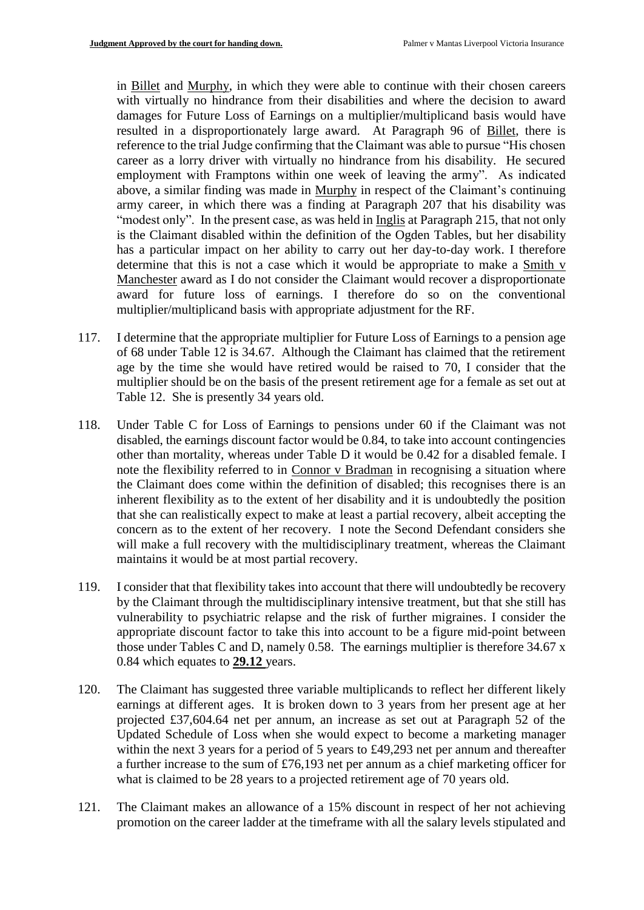in Billet and Murphy, in which they were able to continue with their chosen careers with virtually no hindrance from their disabilities and where the decision to award damages for Future Loss of Earnings on a multiplier/multiplicand basis would have resulted in a disproportionately large award. At Paragraph 96 of Billet, there is reference to the trial Judge confirming that the Claimant was able to pursue "His chosen career as a lorry driver with virtually no hindrance from his disability. He secured employment with Framptons within one week of leaving the army". As indicated above, a similar finding was made in Murphy in respect of the Claimant's continuing army career, in which there was a finding at Paragraph 207 that his disability was "modest only". In the present case, as was held in Inglis at Paragraph 215, that not only is the Claimant disabled within the definition of the Ogden Tables, but her disability has a particular impact on her ability to carry out her day-to-day work. I therefore determine that this is not a case which it would be appropriate to make a Smith v Manchester award as I do not consider the Claimant would recover a disproportionate award for future loss of earnings. I therefore do so on the conventional multiplier/multiplicand basis with appropriate adjustment for the RF.

- 117. I determine that the appropriate multiplier for Future Loss of Earnings to a pension age of 68 under Table 12 is 34.67. Although the Claimant has claimed that the retirement age by the time she would have retired would be raised to 70, I consider that the multiplier should be on the basis of the present retirement age for a female as set out at Table 12. She is presently 34 years old.
- 118. Under Table C for Loss of Earnings to pensions under 60 if the Claimant was not disabled, the earnings discount factor would be 0.84, to take into account contingencies other than mortality, whereas under Table D it would be 0.42 for a disabled female. I note the flexibility referred to in Connor v Bradman in recognising a situation where the Claimant does come within the definition of disabled; this recognises there is an inherent flexibility as to the extent of her disability and it is undoubtedly the position that she can realistically expect to make at least a partial recovery, albeit accepting the concern as to the extent of her recovery. I note the Second Defendant considers she will make a full recovery with the multidisciplinary treatment, whereas the Claimant maintains it would be at most partial recovery.
- 119. I consider that that flexibility takes into account that there will undoubtedly be recovery by the Claimant through the multidisciplinary intensive treatment, but that she still has vulnerability to psychiatric relapse and the risk of further migraines. I consider the appropriate discount factor to take this into account to be a figure mid-point between those under Tables C and D, namely 0.58. The earnings multiplier is therefore 34.67 x 0.84 which equates to **29.12** years.
- 120. The Claimant has suggested three variable multiplicands to reflect her different likely earnings at different ages. It is broken down to 3 years from her present age at her projected £37,604.64 net per annum, an increase as set out at Paragraph 52 of the Updated Schedule of Loss when she would expect to become a marketing manager within the next 3 years for a period of 5 years to £49,293 net per annum and thereafter a further increase to the sum of £76,193 net per annum as a chief marketing officer for what is claimed to be 28 years to a projected retirement age of 70 years old.
- 121. The Claimant makes an allowance of a 15% discount in respect of her not achieving promotion on the career ladder at the timeframe with all the salary levels stipulated and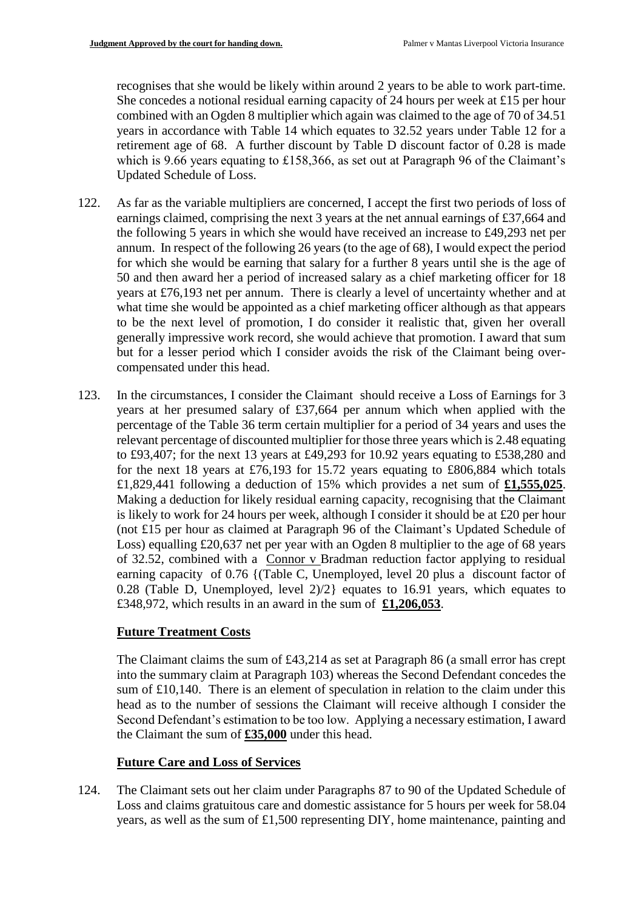recognises that she would be likely within around 2 years to be able to work part-time. She concedes a notional residual earning capacity of 24 hours per week at £15 per hour combined with an Ogden 8 multiplier which again was claimed to the age of 70 of 34.51 years in accordance with Table 14 which equates to 32.52 years under Table 12 for a retirement age of 68. A further discount by Table D discount factor of 0.28 is made which is 9.66 years equating to £158,366, as set out at Paragraph 96 of the Claimant's Updated Schedule of Loss.

- 122. As far as the variable multipliers are concerned, I accept the first two periods of loss of earnings claimed, comprising the next 3 years at the net annual earnings of £37,664 and the following 5 years in which she would have received an increase to £49,293 net per annum. In respect of the following 26 years (to the age of 68), I would expect the period for which she would be earning that salary for a further 8 years until she is the age of 50 and then award her a period of increased salary as a chief marketing officer for 18 years at £76,193 net per annum. There is clearly a level of uncertainty whether and at what time she would be appointed as a chief marketing officer although as that appears to be the next level of promotion, I do consider it realistic that, given her overall generally impressive work record, she would achieve that promotion. I award that sum but for a lesser period which I consider avoids the risk of the Claimant being overcompensated under this head.
- 123. In the circumstances, I consider the Claimant should receive a Loss of Earnings for 3 years at her presumed salary of £37,664 per annum which when applied with the percentage of the Table 36 term certain multiplier for a period of 34 years and uses the relevant percentage of discounted multiplier for those three years which is 2.48 equating to £93,407; for the next 13 years at £49,293 for 10.92 years equating to £538,280 and for the next 18 years at £76,193 for 15.72 years equating to £806,884 which totals £1,829,441 following a deduction of 15% which provides a net sum of **£1,555,025**. Making a deduction for likely residual earning capacity, recognising that the Claimant is likely to work for 24 hours per week, although I consider it should be at £20 per hour (not £15 per hour as claimed at Paragraph 96 of the Claimant's Updated Schedule of Loss) equalling £20,637 net per year with an Ogden 8 multiplier to the age of 68 years of 32.52, combined with a Connor v Bradman reduction factor applying to residual earning capacity of 0.76 {(Table C, Unemployed, level 20 plus a discount factor of 0.28 (Table D, Unemployed, level 2)/2} equates to 16.91 years, which equates to £348,972, which results in an award in the sum of **£1,206,053**.

# **Future Treatment Costs**

The Claimant claims the sum of £43,214 as set at Paragraph 86 (a small error has crept into the summary claim at Paragraph 103) whereas the Second Defendant concedes the sum of £10,140. There is an element of speculation in relation to the claim under this head as to the number of sessions the Claimant will receive although I consider the Second Defendant's estimation to be too low. Applying a necessary estimation, I award the Claimant the sum of **£35,000** under this head.

# **Future Care and Loss of Services**

124. The Claimant sets out her claim under Paragraphs 87 to 90 of the Updated Schedule of Loss and claims gratuitous care and domestic assistance for 5 hours per week for 58.04 years, as well as the sum of £1,500 representing DIY, home maintenance, painting and